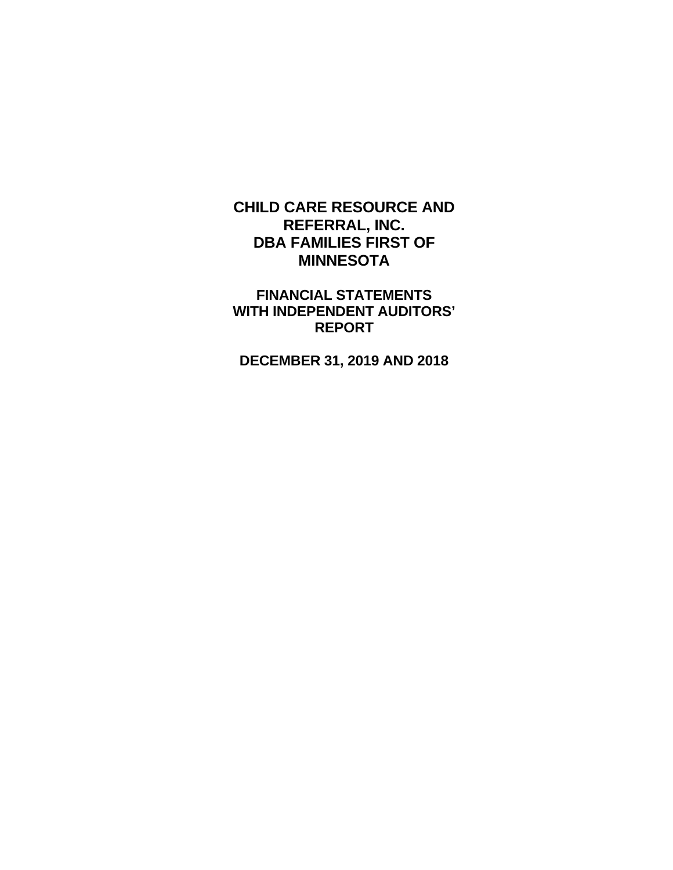# **CHILD CARE RESOURCE AND REFERRAL, INC. DBA FAMILIES FIRST OF MINNESOTA**

**FINANCIAL STATEMENTS WITH INDEPENDENT AUDITORS' REPORT** 

**DECEMBER 31, 2019 AND 2018**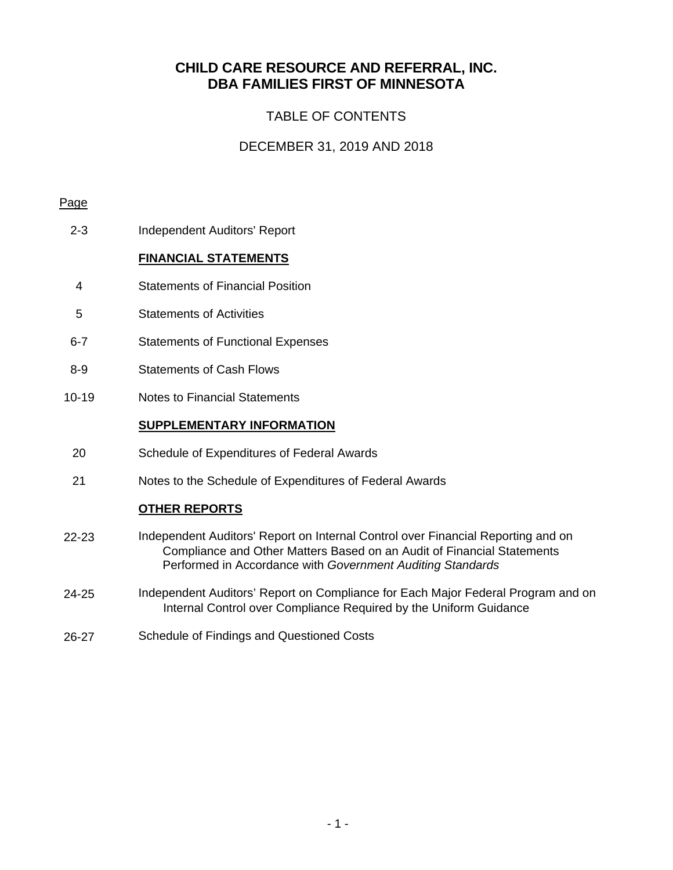# **CHILD CARE RESOURCE AND REFERRAL, INC. DBA FAMILIES FIRST OF MINNESOTA**

# TABLE OF CONTENTS

# DECEMBER 31, 2019 AND 2018

#### Page

2-3 Independent Auditors' Report

#### **FINANCIAL STATEMENTS**

- 4 Statements of Financial Position
- 5 Statements of Activities
- 6-7 Statements of Functional Expenses
- 8-9 Statements of Cash Flows
- 10-19 Notes to Financial Statements

#### **SUPPLEMENTARY INFORMATION**

- 20 Schedule of Expenditures of Federal Awards
- 21 Notes to the Schedule of Expenditures of Federal Awards

#### **OTHER REPORTS**

- 22-23 Independent Auditors' Report on Internal Control over Financial Reporting and on Compliance and Other Matters Based on an Audit of Financial Statements Performed in Accordance with *Government Auditing Standards*
- 24-25 Independent Auditors' Report on Compliance for Each Major Federal Program and on Internal Control over Compliance Required by the Uniform Guidance
- 26-27 Schedule of Findings and Questioned Costs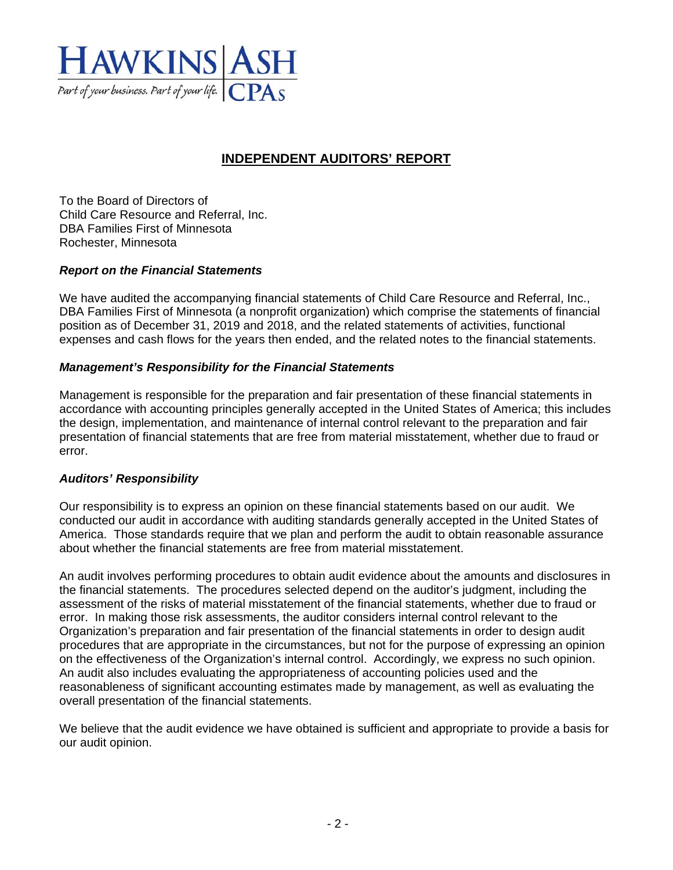

# **INDEPENDENT AUDITORS' REPORT**

To the Board of Directors of Child Care Resource and Referral, Inc. DBA Families First of Minnesota Rochester, Minnesota

#### *Report on the Financial Statements*

We have audited the accompanying financial statements of Child Care Resource and Referral, Inc., DBA Families First of Minnesota (a nonprofit organization) which comprise the statements of financial position as of December 31, 2019 and 2018, and the related statements of activities, functional expenses and cash flows for the years then ended, and the related notes to the financial statements.

#### *Management's Responsibility for the Financial Statements*

Management is responsible for the preparation and fair presentation of these financial statements in accordance with accounting principles generally accepted in the United States of America; this includes the design, implementation, and maintenance of internal control relevant to the preparation and fair presentation of financial statements that are free from material misstatement, whether due to fraud or error.

#### *Auditors' Responsibility*

Our responsibility is to express an opinion on these financial statements based on our audit. We conducted our audit in accordance with auditing standards generally accepted in the United States of America. Those standards require that we plan and perform the audit to obtain reasonable assurance about whether the financial statements are free from material misstatement.

An audit involves performing procedures to obtain audit evidence about the amounts and disclosures in the financial statements. The procedures selected depend on the auditor's judgment, including the assessment of the risks of material misstatement of the financial statements, whether due to fraud or error. In making those risk assessments, the auditor considers internal control relevant to the Organization's preparation and fair presentation of the financial statements in order to design audit procedures that are appropriate in the circumstances, but not for the purpose of expressing an opinion on the effectiveness of the Organization's internal control. Accordingly, we express no such opinion. An audit also includes evaluating the appropriateness of accounting policies used and the reasonableness of significant accounting estimates made by management, as well as evaluating the overall presentation of the financial statements.

We believe that the audit evidence we have obtained is sufficient and appropriate to provide a basis for our audit opinion.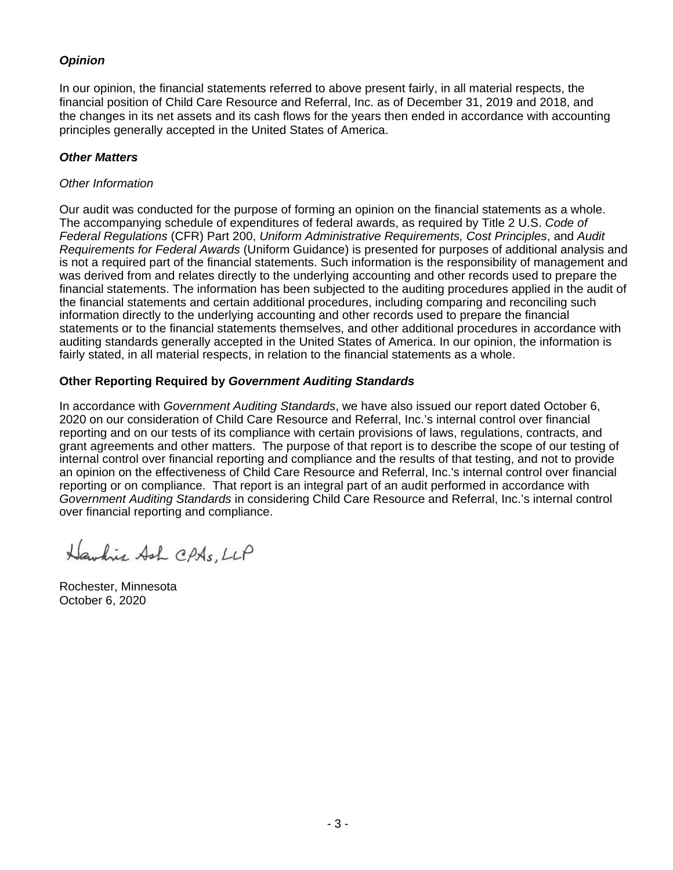## *Opinion*

In our opinion, the financial statements referred to above present fairly, in all material respects, the financial position of Child Care Resource and Referral, Inc. as of December 31, 2019 and 2018, and the changes in its net assets and its cash flows for the years then ended in accordance with accounting principles generally accepted in the United States of America.

#### *Other Matters*

#### *Other Information*

Our audit was conducted for the purpose of forming an opinion on the financial statements as a whole. The accompanying schedule of expenditures of federal awards, as required by Title 2 U.S. *Code of Federal Regulations* (CFR) Part 200, *Uniform Administrative Requirements, Cost Principles*, and *Audit Requirements for Federal Awards* (Uniform Guidance) is presented for purposes of additional analysis and is not a required part of the financial statements. Such information is the responsibility of management and was derived from and relates directly to the underlying accounting and other records used to prepare the financial statements. The information has been subjected to the auditing procedures applied in the audit of the financial statements and certain additional procedures, including comparing and reconciling such information directly to the underlying accounting and other records used to prepare the financial statements or to the financial statements themselves, and other additional procedures in accordance with auditing standards generally accepted in the United States of America. In our opinion, the information is fairly stated, in all material respects, in relation to the financial statements as a whole.

#### **Other Reporting Required by** *Government Auditing Standards*

In accordance with *Government Auditing Standards*, we have also issued our report dated October 6, 2020 on our consideration of Child Care Resource and Referral, Inc.'s internal control over financial reporting and on our tests of its compliance with certain provisions of laws, regulations, contracts, and grant agreements and other matters. The purpose of that report is to describe the scope of our testing of internal control over financial reporting and compliance and the results of that testing, and not to provide an opinion on the effectiveness of Child Care Resource and Referral, Inc.'s internal control over financial reporting or on compliance. That report is an integral part of an audit performed in accordance with *Government Auditing Standards* in considering Child Care Resource and Referral, Inc.'s internal control over financial reporting and compliance.

Hawkis Ash CPAS, LLP

Rochester, Minnesota October 6, 2020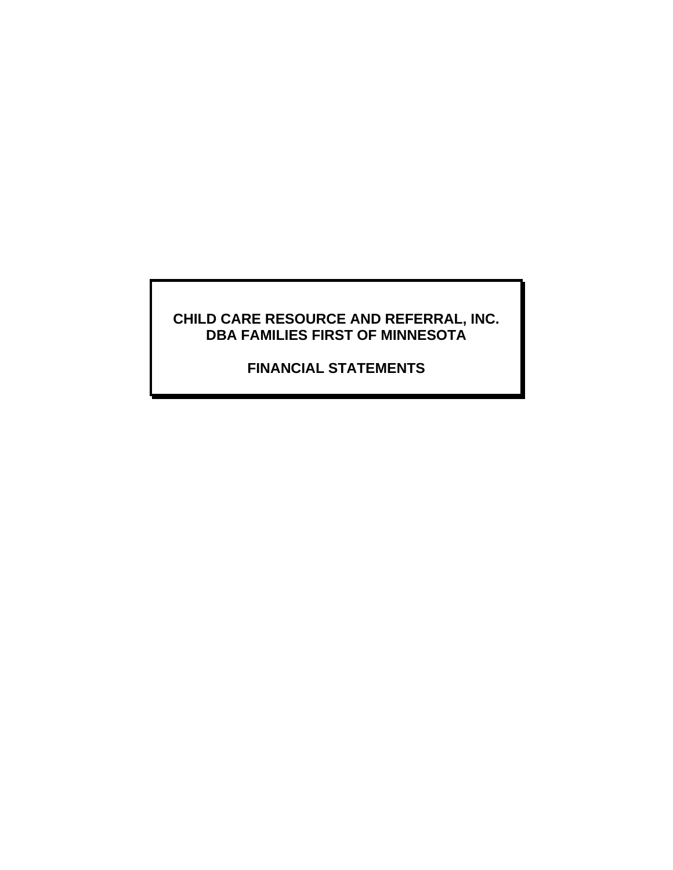# **CHILD CARE RESOURCE AND REFERRAL, INC. DBA FAMILIES FIRST OF MINNESOTA**

**FINANCIAL STATEMENTS**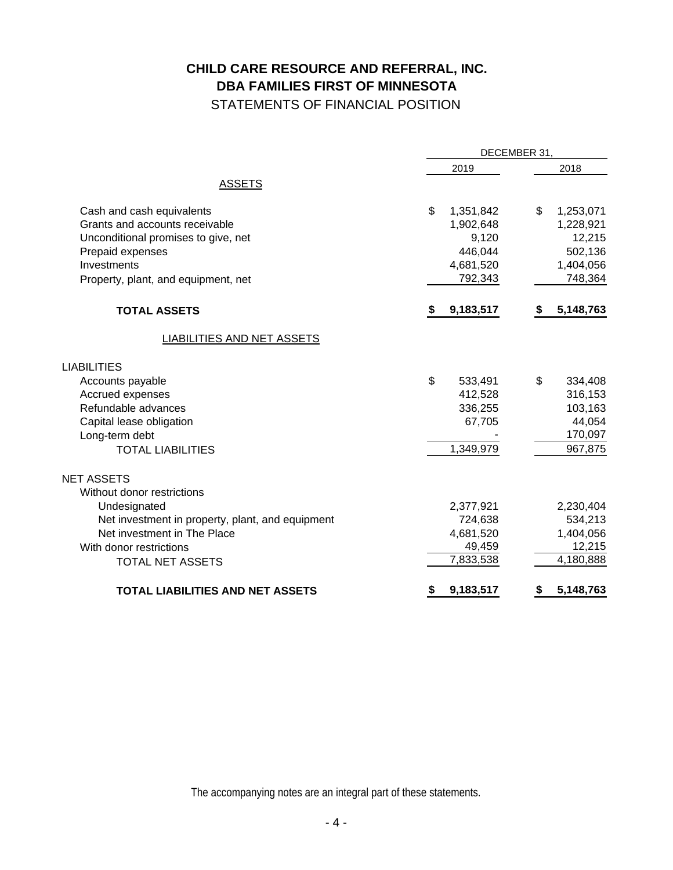# **CHILD CARE RESOURCE AND REFERRAL, INC.** STATEMENTS OF FINANCIAL POSITION **DBA FAMILIES FIRST OF MINNESOTA**

|                                                  | DECEMBER 31, |           |    |           |
|--------------------------------------------------|--------------|-----------|----|-----------|
|                                                  |              | 2019      |    | 2018      |
| <b>ASSETS</b>                                    |              |           |    |           |
| Cash and cash equivalents                        | \$           | 1,351,842 | \$ | 1,253,071 |
| Grants and accounts receivable                   |              | 1,902,648 |    | 1,228,921 |
| Unconditional promises to give, net              |              | 9,120     |    | 12,215    |
| Prepaid expenses                                 |              | 446,044   |    | 502,136   |
| Investments                                      |              | 4,681,520 |    | 1,404,056 |
| Property, plant, and equipment, net              |              | 792,343   |    | 748,364   |
| <b>TOTAL ASSETS</b>                              | \$           | 9,183,517 |    | 5,148,763 |
| <b>LIABILITIES AND NET ASSETS</b>                |              |           |    |           |
| <b>LIABILITIES</b>                               |              |           |    |           |
| Accounts payable                                 | \$           | 533,491   | \$ | 334,408   |
| Accrued expenses                                 |              | 412,528   |    | 316,153   |
| Refundable advances                              |              | 336,255   |    | 103,163   |
| Capital lease obligation                         |              | 67,705    |    | 44,054    |
| Long-term debt                                   |              |           |    | 170,097   |
| <b>TOTAL LIABILITIES</b>                         |              | 1,349,979 |    | 967,875   |
| <b>NET ASSETS</b>                                |              |           |    |           |
| Without donor restrictions                       |              |           |    |           |
| Undesignated                                     |              | 2,377,921 |    | 2,230,404 |
| Net investment in property, plant, and equipment |              | 724,638   |    | 534,213   |
| Net investment in The Place                      |              | 4,681,520 |    | 1,404,056 |
| With donor restrictions                          |              | 49,459    |    | 12,215    |
| <b>TOTAL NET ASSETS</b>                          |              | 7,833,538 |    | 4,180,888 |
| <b>TOTAL LIABILITIES AND NET ASSETS</b>          |              | 9,183,517 |    | 5,148,763 |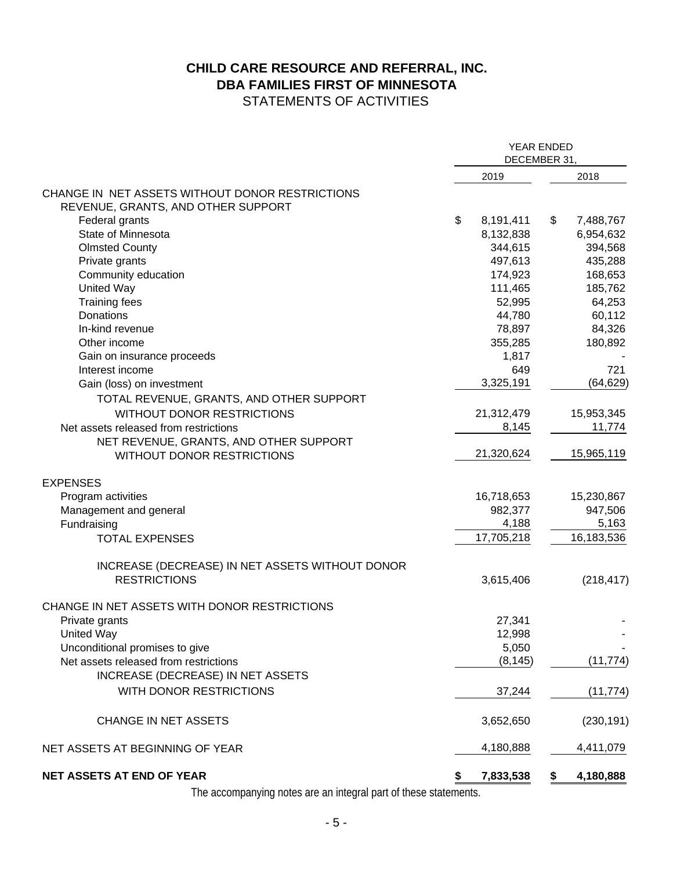## **CHILD CARE RESOURCE AND REFERRAL, INC.** STATEMENTS OF ACTIVITIES **DBA FAMILIES FIRST OF MINNESOTA**

| 2018<br>2019<br>CHANGE IN NET ASSETS WITHOUT DONOR RESTRICTIONS<br>REVENUE, GRANTS, AND OTHER SUPPORT<br>\$<br>Federal grants<br>8,191,411<br>\$<br>7,488,767<br>State of Minnesota<br>8,132,838<br>6,954,632<br>394,568<br><b>Olmsted County</b><br>344,615<br>435,288<br>Private grants<br>497,613<br>Community education<br>174,923<br>168,653<br><b>United Way</b><br>111,465<br>185,762<br><b>Training fees</b><br>52,995<br>64,253<br>Donations<br>44,780<br>60,112<br>In-kind revenue<br>78,897<br>84,326<br>180,892<br>Other income<br>355,285<br>Gain on insurance proceeds<br>1,817<br>721<br>Interest income<br>649<br>3,325,191<br>(64, 629)<br>Gain (loss) on investment<br>TOTAL REVENUE, GRANTS, AND OTHER SUPPORT<br><b>WITHOUT DONOR RESTRICTIONS</b><br>21,312,479<br>8,145<br>11,774<br>Net assets released from restrictions<br>NET REVENUE, GRANTS, AND OTHER SUPPORT<br>21,320,624<br>15,965,119<br><b>WITHOUT DONOR RESTRICTIONS</b><br><b>EXPENSES</b><br>Program activities<br>16,718,653<br>982,377<br>Management and general<br>4,188<br>Fundraising<br>17,705,218<br><b>TOTAL EXPENSES</b><br>INCREASE (DECREASE) IN NET ASSETS WITHOUT DONOR<br><b>RESTRICTIONS</b><br>3,615,406<br>CHANGE IN NET ASSETS WITH DONOR RESTRICTIONS<br>27,341<br>Private grants<br><b>United Way</b><br>12,998<br>Unconditional promises to give<br>5,050<br>(8, 145)<br>Net assets released from restrictions<br>INCREASE (DECREASE) IN NET ASSETS<br>WITH DONOR RESTRICTIONS<br>37,244<br><b>CHANGE IN NET ASSETS</b><br>3,652,650<br>4,180,888<br>NET ASSETS AT BEGINNING OF YEAR<br><b>NET ASSETS AT END OF YEAR</b><br>7,833,538 |  | YEAR ENDED<br>DECEMBER 31, |  |            |
|-------------------------------------------------------------------------------------------------------------------------------------------------------------------------------------------------------------------------------------------------------------------------------------------------------------------------------------------------------------------------------------------------------------------------------------------------------------------------------------------------------------------------------------------------------------------------------------------------------------------------------------------------------------------------------------------------------------------------------------------------------------------------------------------------------------------------------------------------------------------------------------------------------------------------------------------------------------------------------------------------------------------------------------------------------------------------------------------------------------------------------------------------------------------------------------------------------------------------------------------------------------------------------------------------------------------------------------------------------------------------------------------------------------------------------------------------------------------------------------------------------------------------------------------------------------------------------------------------------------------------------------------------|--|----------------------------|--|------------|
|                                                                                                                                                                                                                                                                                                                                                                                                                                                                                                                                                                                                                                                                                                                                                                                                                                                                                                                                                                                                                                                                                                                                                                                                                                                                                                                                                                                                                                                                                                                                                                                                                                                 |  |                            |  |            |
|                                                                                                                                                                                                                                                                                                                                                                                                                                                                                                                                                                                                                                                                                                                                                                                                                                                                                                                                                                                                                                                                                                                                                                                                                                                                                                                                                                                                                                                                                                                                                                                                                                                 |  |                            |  |            |
|                                                                                                                                                                                                                                                                                                                                                                                                                                                                                                                                                                                                                                                                                                                                                                                                                                                                                                                                                                                                                                                                                                                                                                                                                                                                                                                                                                                                                                                                                                                                                                                                                                                 |  |                            |  |            |
|                                                                                                                                                                                                                                                                                                                                                                                                                                                                                                                                                                                                                                                                                                                                                                                                                                                                                                                                                                                                                                                                                                                                                                                                                                                                                                                                                                                                                                                                                                                                                                                                                                                 |  |                            |  |            |
|                                                                                                                                                                                                                                                                                                                                                                                                                                                                                                                                                                                                                                                                                                                                                                                                                                                                                                                                                                                                                                                                                                                                                                                                                                                                                                                                                                                                                                                                                                                                                                                                                                                 |  |                            |  |            |
|                                                                                                                                                                                                                                                                                                                                                                                                                                                                                                                                                                                                                                                                                                                                                                                                                                                                                                                                                                                                                                                                                                                                                                                                                                                                                                                                                                                                                                                                                                                                                                                                                                                 |  |                            |  |            |
|                                                                                                                                                                                                                                                                                                                                                                                                                                                                                                                                                                                                                                                                                                                                                                                                                                                                                                                                                                                                                                                                                                                                                                                                                                                                                                                                                                                                                                                                                                                                                                                                                                                 |  |                            |  |            |
|                                                                                                                                                                                                                                                                                                                                                                                                                                                                                                                                                                                                                                                                                                                                                                                                                                                                                                                                                                                                                                                                                                                                                                                                                                                                                                                                                                                                                                                                                                                                                                                                                                                 |  |                            |  |            |
|                                                                                                                                                                                                                                                                                                                                                                                                                                                                                                                                                                                                                                                                                                                                                                                                                                                                                                                                                                                                                                                                                                                                                                                                                                                                                                                                                                                                                                                                                                                                                                                                                                                 |  |                            |  |            |
|                                                                                                                                                                                                                                                                                                                                                                                                                                                                                                                                                                                                                                                                                                                                                                                                                                                                                                                                                                                                                                                                                                                                                                                                                                                                                                                                                                                                                                                                                                                                                                                                                                                 |  |                            |  |            |
|                                                                                                                                                                                                                                                                                                                                                                                                                                                                                                                                                                                                                                                                                                                                                                                                                                                                                                                                                                                                                                                                                                                                                                                                                                                                                                                                                                                                                                                                                                                                                                                                                                                 |  |                            |  |            |
|                                                                                                                                                                                                                                                                                                                                                                                                                                                                                                                                                                                                                                                                                                                                                                                                                                                                                                                                                                                                                                                                                                                                                                                                                                                                                                                                                                                                                                                                                                                                                                                                                                                 |  |                            |  |            |
|                                                                                                                                                                                                                                                                                                                                                                                                                                                                                                                                                                                                                                                                                                                                                                                                                                                                                                                                                                                                                                                                                                                                                                                                                                                                                                                                                                                                                                                                                                                                                                                                                                                 |  |                            |  |            |
|                                                                                                                                                                                                                                                                                                                                                                                                                                                                                                                                                                                                                                                                                                                                                                                                                                                                                                                                                                                                                                                                                                                                                                                                                                                                                                                                                                                                                                                                                                                                                                                                                                                 |  |                            |  |            |
|                                                                                                                                                                                                                                                                                                                                                                                                                                                                                                                                                                                                                                                                                                                                                                                                                                                                                                                                                                                                                                                                                                                                                                                                                                                                                                                                                                                                                                                                                                                                                                                                                                                 |  |                            |  |            |
|                                                                                                                                                                                                                                                                                                                                                                                                                                                                                                                                                                                                                                                                                                                                                                                                                                                                                                                                                                                                                                                                                                                                                                                                                                                                                                                                                                                                                                                                                                                                                                                                                                                 |  |                            |  |            |
|                                                                                                                                                                                                                                                                                                                                                                                                                                                                                                                                                                                                                                                                                                                                                                                                                                                                                                                                                                                                                                                                                                                                                                                                                                                                                                                                                                                                                                                                                                                                                                                                                                                 |  |                            |  |            |
|                                                                                                                                                                                                                                                                                                                                                                                                                                                                                                                                                                                                                                                                                                                                                                                                                                                                                                                                                                                                                                                                                                                                                                                                                                                                                                                                                                                                                                                                                                                                                                                                                                                 |  |                            |  | 15,953,345 |
|                                                                                                                                                                                                                                                                                                                                                                                                                                                                                                                                                                                                                                                                                                                                                                                                                                                                                                                                                                                                                                                                                                                                                                                                                                                                                                                                                                                                                                                                                                                                                                                                                                                 |  |                            |  |            |
|                                                                                                                                                                                                                                                                                                                                                                                                                                                                                                                                                                                                                                                                                                                                                                                                                                                                                                                                                                                                                                                                                                                                                                                                                                                                                                                                                                                                                                                                                                                                                                                                                                                 |  |                            |  |            |
|                                                                                                                                                                                                                                                                                                                                                                                                                                                                                                                                                                                                                                                                                                                                                                                                                                                                                                                                                                                                                                                                                                                                                                                                                                                                                                                                                                                                                                                                                                                                                                                                                                                 |  |                            |  |            |
|                                                                                                                                                                                                                                                                                                                                                                                                                                                                                                                                                                                                                                                                                                                                                                                                                                                                                                                                                                                                                                                                                                                                                                                                                                                                                                                                                                                                                                                                                                                                                                                                                                                 |  |                            |  |            |
|                                                                                                                                                                                                                                                                                                                                                                                                                                                                                                                                                                                                                                                                                                                                                                                                                                                                                                                                                                                                                                                                                                                                                                                                                                                                                                                                                                                                                                                                                                                                                                                                                                                 |  |                            |  | 15,230,867 |
|                                                                                                                                                                                                                                                                                                                                                                                                                                                                                                                                                                                                                                                                                                                                                                                                                                                                                                                                                                                                                                                                                                                                                                                                                                                                                                                                                                                                                                                                                                                                                                                                                                                 |  |                            |  | 947,506    |
|                                                                                                                                                                                                                                                                                                                                                                                                                                                                                                                                                                                                                                                                                                                                                                                                                                                                                                                                                                                                                                                                                                                                                                                                                                                                                                                                                                                                                                                                                                                                                                                                                                                 |  |                            |  | 5,163      |
|                                                                                                                                                                                                                                                                                                                                                                                                                                                                                                                                                                                                                                                                                                                                                                                                                                                                                                                                                                                                                                                                                                                                                                                                                                                                                                                                                                                                                                                                                                                                                                                                                                                 |  |                            |  | 16,183,536 |
|                                                                                                                                                                                                                                                                                                                                                                                                                                                                                                                                                                                                                                                                                                                                                                                                                                                                                                                                                                                                                                                                                                                                                                                                                                                                                                                                                                                                                                                                                                                                                                                                                                                 |  |                            |  |            |
|                                                                                                                                                                                                                                                                                                                                                                                                                                                                                                                                                                                                                                                                                                                                                                                                                                                                                                                                                                                                                                                                                                                                                                                                                                                                                                                                                                                                                                                                                                                                                                                                                                                 |  |                            |  | (218, 417) |
|                                                                                                                                                                                                                                                                                                                                                                                                                                                                                                                                                                                                                                                                                                                                                                                                                                                                                                                                                                                                                                                                                                                                                                                                                                                                                                                                                                                                                                                                                                                                                                                                                                                 |  |                            |  |            |
|                                                                                                                                                                                                                                                                                                                                                                                                                                                                                                                                                                                                                                                                                                                                                                                                                                                                                                                                                                                                                                                                                                                                                                                                                                                                                                                                                                                                                                                                                                                                                                                                                                                 |  |                            |  |            |
|                                                                                                                                                                                                                                                                                                                                                                                                                                                                                                                                                                                                                                                                                                                                                                                                                                                                                                                                                                                                                                                                                                                                                                                                                                                                                                                                                                                                                                                                                                                                                                                                                                                 |  |                            |  |            |
|                                                                                                                                                                                                                                                                                                                                                                                                                                                                                                                                                                                                                                                                                                                                                                                                                                                                                                                                                                                                                                                                                                                                                                                                                                                                                                                                                                                                                                                                                                                                                                                                                                                 |  |                            |  |            |
|                                                                                                                                                                                                                                                                                                                                                                                                                                                                                                                                                                                                                                                                                                                                                                                                                                                                                                                                                                                                                                                                                                                                                                                                                                                                                                                                                                                                                                                                                                                                                                                                                                                 |  |                            |  | (11, 774)  |
|                                                                                                                                                                                                                                                                                                                                                                                                                                                                                                                                                                                                                                                                                                                                                                                                                                                                                                                                                                                                                                                                                                                                                                                                                                                                                                                                                                                                                                                                                                                                                                                                                                                 |  |                            |  |            |
|                                                                                                                                                                                                                                                                                                                                                                                                                                                                                                                                                                                                                                                                                                                                                                                                                                                                                                                                                                                                                                                                                                                                                                                                                                                                                                                                                                                                                                                                                                                                                                                                                                                 |  |                            |  | (11, 774)  |
|                                                                                                                                                                                                                                                                                                                                                                                                                                                                                                                                                                                                                                                                                                                                                                                                                                                                                                                                                                                                                                                                                                                                                                                                                                                                                                                                                                                                                                                                                                                                                                                                                                                 |  |                            |  | (230, 191) |
|                                                                                                                                                                                                                                                                                                                                                                                                                                                                                                                                                                                                                                                                                                                                                                                                                                                                                                                                                                                                                                                                                                                                                                                                                                                                                                                                                                                                                                                                                                                                                                                                                                                 |  |                            |  | 4,411,079  |
|                                                                                                                                                                                                                                                                                                                                                                                                                                                                                                                                                                                                                                                                                                                                                                                                                                                                                                                                                                                                                                                                                                                                                                                                                                                                                                                                                                                                                                                                                                                                                                                                                                                 |  |                            |  | 4,180,888  |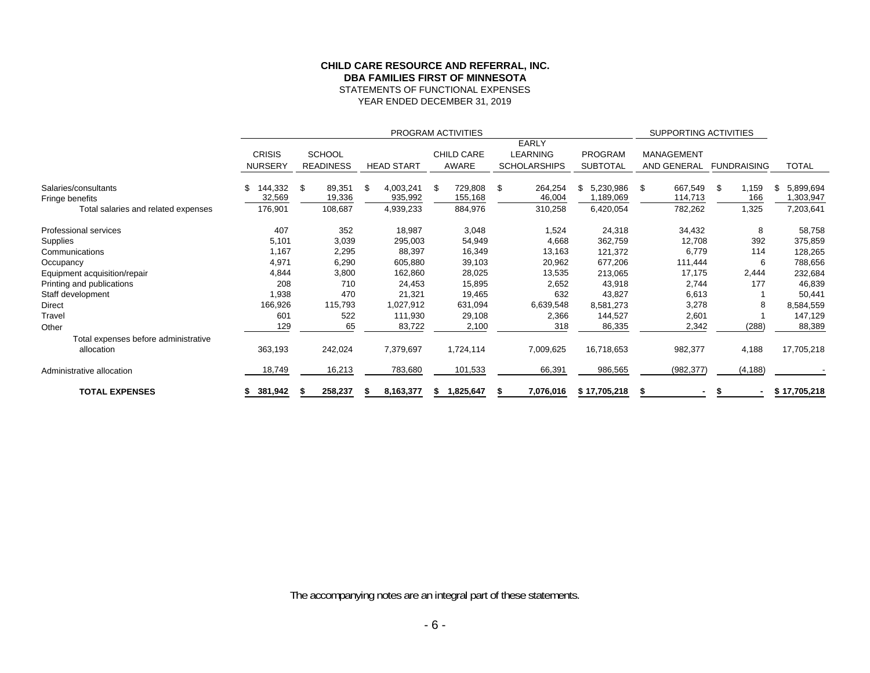#### **CHILD CARE RESOURCE AND REFERRAL, INC.** STATEMENTS OF FUNCTIONAL EXPENSES YEAR ENDED DECEMBER 31, 2019 **DBA FAMILIES FIRST OF MINNESOTA**

|                                      | PROGRAM ACTIVITIES |                  |                   |           | SUPPORTING ACTIVITIES |                     |                 |                    |                    |                |
|--------------------------------------|--------------------|------------------|-------------------|-----------|-----------------------|---------------------|-----------------|--------------------|--------------------|----------------|
|                                      |                    |                  |                   |           |                       | <b>EARLY</b>        |                 |                    |                    |                |
|                                      | <b>CRISIS</b>      | <b>SCHOOL</b>    |                   |           | <b>CHILD CARE</b>     | <b>LEARNING</b>     | <b>PROGRAM</b>  | <b>MANAGEMENT</b>  |                    |                |
|                                      | <b>NURSERY</b>     | <b>READINESS</b> | <b>HEAD START</b> |           | AWARE                 | <b>SCHOLARSHIPS</b> | <b>SUBTOTAL</b> | <b>AND GENERAL</b> | <b>FUNDRAISING</b> | <b>TOTAL</b>   |
| Salaries/consultants                 | 144,332            | \$<br>89,351     | \$                | 4,003,241 | 729,808 \$<br>-\$     | 264,254             | 5,230,986<br>\$ | 667,549<br>\$      | - \$<br>1,159      | 5,899,694<br>S |
| Fringe benefits                      | 32,569             | 19,336           |                   | 935,992   | 155,168               | 46,004              | 1,189,069       | 114,713            | 166                | ,303,947       |
| Total salaries and related expenses  | 176,901            | 108,687          |                   | 4,939,233 | 884,976               | 310,258             | 6,420,054       | 782,262            | 1,325              | 7,203,641      |
| Professional services                | 407                | 352              |                   | 18,987    | 3,048                 | 1,524               | 24,318          | 34,432             | 8                  | 58,758         |
| Supplies                             | 5,101              | 3,039            |                   | 295,003   | 54,949                | 4,668               | 362,759         | 12,708             | 392                | 375,859        |
| Communications                       | 1,167              | 2,295            |                   | 88,397    | 16,349                | 13,163              | 121,372         | 6,779              | 114                | 128,265        |
| Occupancy                            | 4,971              | 6,290            |                   | 605,880   | 39,103                | 20,962              | 677,206         | 111,444            | 6                  | 788,656        |
| Equipment acquisition/repair         | 4,844              | 3,800            |                   | 162,860   | 28,025                | 13,535              | 213,065         | 17,175             | 2,444              | 232,684        |
| Printing and publications            | 208                | 710              |                   | 24,453    | 15,895                | 2,652               | 43,918          | 2,744              | 177                | 46,839         |
| Staff development                    | 1,938              | 470              |                   | 21,321    | 19,465                | 632                 | 43,827          | 6,613              |                    | 50,441         |
| <b>Direct</b>                        | 166,926            | 115,793          |                   | 1,027,912 | 631,094               | 6,639,548           | 8,581,273       | 3,278              | 8                  | 8,584,559      |
| Travel                               | 601                | 522              |                   | 111,930   | 29,108                | 2,366               | 144,527         | 2,601              |                    | 147,129        |
| Other                                | 129                | 65               |                   | 83,722    | 2,100                 | 318                 | 86,335          | 2,342              | (288)              | 88,389         |
| Total expenses before administrative |                    |                  |                   |           |                       |                     |                 |                    |                    |                |
| allocation                           | 363,193            | 242,024          |                   | 7,379,697 | 1,724,114             | 7,009,625           | 16,718,653      | 982,377            | 4,188              | 17,705,218     |
| Administrative allocation            | 18,749             | 16,213           |                   | 783,680   | 101,533               | 66,391              | 986,565         | (982, 377)         | (4, 188)           |                |
| <b>TOTAL EXPENSES</b>                | 381,942            | 258,237          | S                 | 8,163,377 | 1,825,647             | 7,076,016           | \$17,705,218    | £.                 |                    | \$17,705,218   |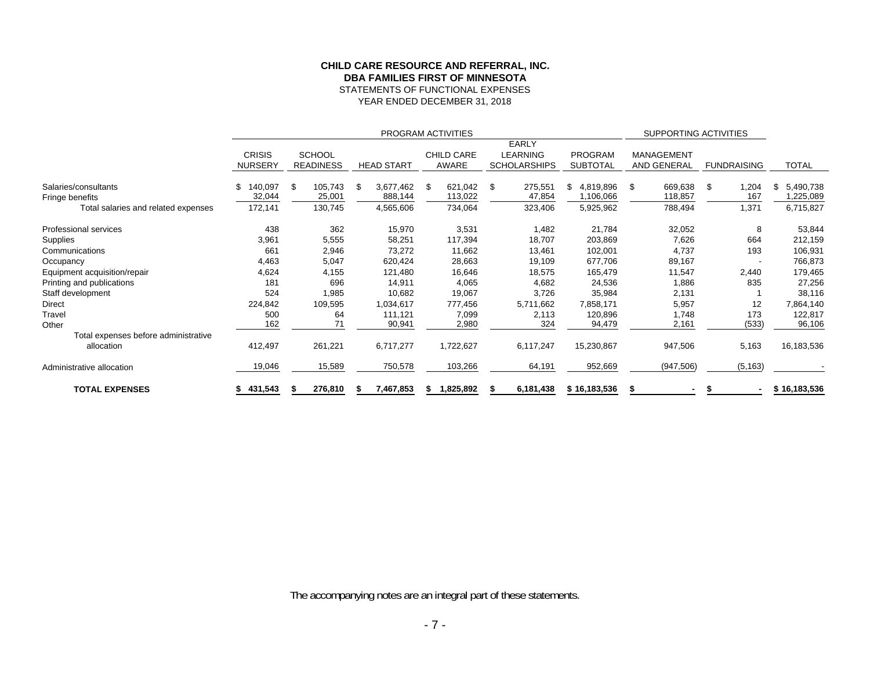#### **CHILD CARE RESOURCE AND REFERRAL, INC.** STATEMENTS OF FUNCTIONAL EXPENSES YEAR ENDED DECEMBER 31, 2018 **DBA FAMILIES FIRST OF MINNESOTA**

|                                                                                | PROGRAM ACTIVITIES              |                                    |                                         |                                    | SUPPORTING ACTIVITIES                           |                                     |                                         |                              |                                          |
|--------------------------------------------------------------------------------|---------------------------------|------------------------------------|-----------------------------------------|------------------------------------|-------------------------------------------------|-------------------------------------|-----------------------------------------|------------------------------|------------------------------------------|
|                                                                                | <b>CRISIS</b><br><b>NURSERY</b> | <b>SCHOOL</b><br><b>READINESS</b>  | <b>HEAD START</b>                       | CHILD CARE<br>AWARE                | EARLY<br><b>LEARNING</b><br><b>SCHOLARSHIPS</b> | PROGRAM<br><b>SUBTOTAL</b>          | <b>MANAGEMENT</b><br><b>AND GENERAL</b> | <b>FUNDRAISING</b>           | <b>TOTAL</b>                             |
| Salaries/consultants<br>Fringe benefits<br>Total salaries and related expenses | 140,097<br>32,044<br>172,141    | 105,743<br>\$<br>25,001<br>130,745 | \$<br>3,677,462<br>888,144<br>4,565,606 | 621,042<br>S<br>113,022<br>734,064 | \$<br>275,551<br>47,854<br>323,406              | 4,819,896<br>1,106,066<br>5,925,962 | \$<br>669,638<br>118,857<br>788,494     | -\$<br>1,204<br>167<br>1,371 | 5,490,738<br>\$<br>,225,089<br>6,715,827 |
| Professional services<br><b>Supplies</b>                                       | 438<br>3,961                    | 362<br>5,555                       | 15,970<br>58,251                        | 3,531<br>117,394                   | 1,482<br>18,707                                 | 21,784<br>203,869                   | 32,052<br>7,626                         | 8<br>664                     | 53,844<br>212,159                        |
| Communications                                                                 | 661                             | 2,946                              | 73,272                                  | 11,662                             | 13,461                                          | 102,001                             | 4,737                                   | 193                          | 106,931                                  |
| Occupancy<br>Equipment acquisition/repair                                      | 4,463<br>4,624                  | 5,047<br>4,155                     | 620,424<br>121,480                      | 28,663<br>16,646                   | 19,109<br>18,575                                | 677,706<br>165,479                  | 89,167<br>11,547                        | 2,440                        | 766,873<br>179,465                       |
| Printing and publications                                                      | 181                             | 696                                | 14,911                                  | 4,065                              | 4,682                                           | 24,536                              | 1,886                                   | 835                          | 27,256                                   |
| Staff development<br><b>Direct</b>                                             | 524<br>224,842                  | 1,985<br>109,595                   | 10,682<br>1,034,617                     | 19,067<br>777,456                  | 3,726<br>5,711,662                              | 35,984<br>7,858,171                 | 2,131<br>5,957                          | 12                           | 38,116<br>7,864,140                      |
| Travel<br>Other                                                                | 500<br>162                      | 64<br>71                           | 111,121<br>90,941                       | 7,099<br>2,980                     | 2,113<br>324                                    | 120,896<br>94,479                   | 1,748<br>2,161                          | 173<br>(533)                 | 122,817<br>96,106                        |
| Total expenses before administrative<br>allocation                             | 412,497                         | 261,221                            | 6,717,277                               | 1,722,627                          | 6,117,247                                       | 15,230,867                          | 947,506                                 | 5,163                        | 16,183,536                               |
| Administrative allocation                                                      | 19,046                          | 15,589                             | 750,578                                 | 103,266                            | 64,191                                          | 952,669                             | (947, 506)                              | (5, 163)                     |                                          |
| <b>TOTAL EXPENSES</b>                                                          | 431,543                         | 276,810                            | 7,467,853                               | 1,825,892<br>S.                    | 6,181,438                                       | \$16,183,536                        | S                                       |                              | \$16,183,536                             |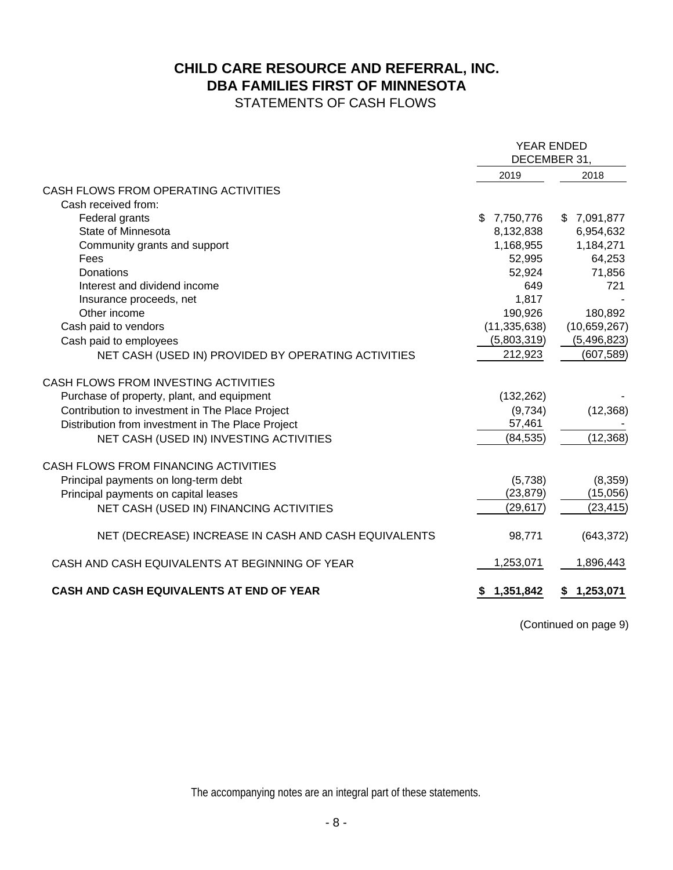# **CHILD CARE RESOURCE AND REFERRAL, INC. DBA FAMILIES FIRST OF MINNESOTA**

STATEMENTS OF CASH FLOWS

|                                                      | <b>YEAR ENDED</b><br>DECEMBER 31, |              |  |
|------------------------------------------------------|-----------------------------------|--------------|--|
|                                                      | 2019                              | 2018         |  |
| CASH FLOWS FROM OPERATING ACTIVITIES                 |                                   |              |  |
| Cash received from:                                  |                                   |              |  |
| Federal grants                                       | 7,750,776                         | \$7,091,877  |  |
| State of Minnesota                                   | 8,132,838                         | 6,954,632    |  |
| Community grants and support                         | 1,168,955                         | 1,184,271    |  |
| Fees                                                 | 52,995                            | 64,253       |  |
| Donations                                            | 52,924                            | 71,856       |  |
| Interest and dividend income                         | 649                               | 721          |  |
| Insurance proceeds, net                              | 1,817                             |              |  |
| Other income                                         | 190,926                           | 180,892      |  |
| Cash paid to vendors                                 | (11, 335, 638)                    | (10,659,267) |  |
| Cash paid to employees                               | (5,803,319)                       | (5,496,823)  |  |
| NET CASH (USED IN) PROVIDED BY OPERATING ACTIVITIES  | 212,923                           | (607, 589)   |  |
| CASH FLOWS FROM INVESTING ACTIVITIES                 |                                   |              |  |
| Purchase of property, plant, and equipment           | (132, 262)                        |              |  |
| Contribution to investment in The Place Project      | (9,734)                           | (12, 368)    |  |
| Distribution from investment in The Place Project    | 57,461                            |              |  |
| NET CASH (USED IN) INVESTING ACTIVITIES              | (84, 535)                         | (12, 368)    |  |
| CASH FLOWS FROM FINANCING ACTIVITIES                 |                                   |              |  |
| Principal payments on long-term debt                 | (5,738)                           | (8,359)      |  |
| Principal payments on capital leases                 | (23, 879)                         | (15,056)     |  |
| NET CASH (USED IN) FINANCING ACTIVITIES              | (29, 617)                         | (23, 415)    |  |
| NET (DECREASE) INCREASE IN CASH AND CASH EQUIVALENTS | 98,771                            | (643, 372)   |  |
| CASH AND CASH EQUIVALENTS AT BEGINNING OF YEAR       | 1,253,071                         | 1,896,443    |  |
| <b>CASH AND CASH EQUIVALENTS AT END OF YEAR</b>      | 1,351,842                         | \$1,253,071  |  |

(Continued on page 9)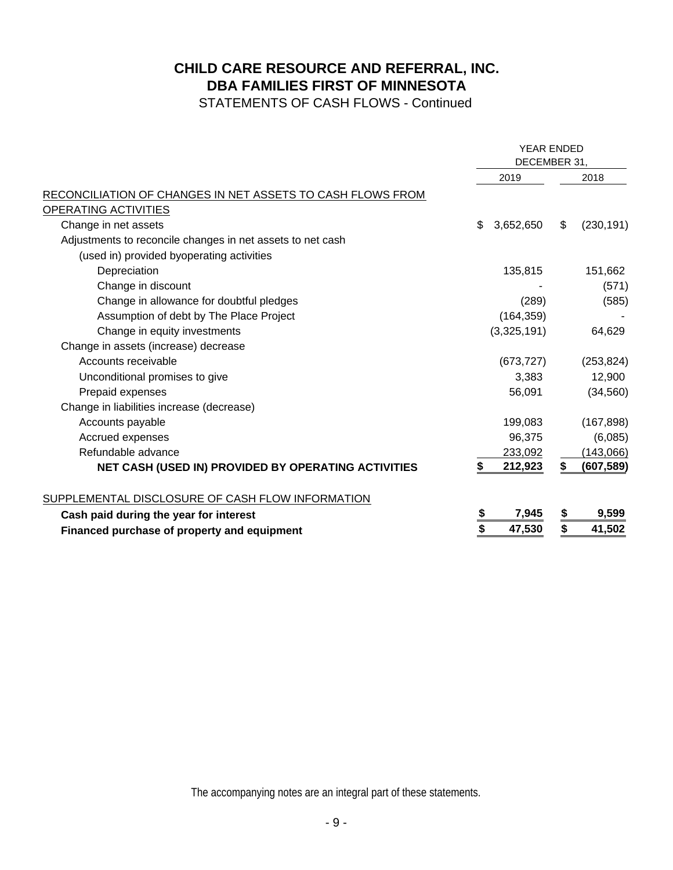# **CHILD CARE RESOURCE AND REFERRAL, INC. DBA FAMILIES FIRST OF MINNESOTA**

STATEMENTS OF CASH FLOWS - Continued

|                                                            | <b>YEAR ENDED</b><br>DECEMBER 31 |             |      |            |  |
|------------------------------------------------------------|----------------------------------|-------------|------|------------|--|
|                                                            | 2019                             |             | 2018 |            |  |
| RECONCILIATION OF CHANGES IN NET ASSETS TO CASH FLOWS FROM |                                  |             |      |            |  |
| <b>OPERATING ACTIVITIES</b>                                |                                  |             |      |            |  |
| Change in net assets                                       | \$                               | 3,652,650   | \$   | (230, 191) |  |
| Adjustments to reconcile changes in net assets to net cash |                                  |             |      |            |  |
| (used in) provided byoperating activities                  |                                  |             |      |            |  |
| Depreciation                                               |                                  | 135,815     |      | 151,662    |  |
| Change in discount                                         |                                  |             |      | (571)      |  |
| Change in allowance for doubtful pledges                   |                                  | (289)       |      | (585)      |  |
| Assumption of debt by The Place Project                    |                                  | (164, 359)  |      |            |  |
| Change in equity investments                               |                                  | (3,325,191) |      | 64,629     |  |
| Change in assets (increase) decrease                       |                                  |             |      |            |  |
| Accounts receivable                                        |                                  | (673, 727)  |      | (253, 824) |  |
| Unconditional promises to give                             |                                  | 3,383       |      | 12,900     |  |
| Prepaid expenses                                           |                                  | 56,091      |      | (34, 560)  |  |
| Change in liabilities increase (decrease)                  |                                  |             |      |            |  |
| Accounts payable                                           |                                  | 199,083     |      | (167, 898) |  |
| Accrued expenses                                           |                                  | 96,375      |      | (6,085)    |  |
| Refundable advance                                         |                                  | 233,092     |      | (143,066)  |  |
| NET CASH (USED IN) PROVIDED BY OPERATING ACTIVITIES        |                                  | 212,923     | \$   | (607, 589) |  |
| SUPPLEMENTAL DISCLOSURE OF CASH FLOW INFORMATION           |                                  |             |      |            |  |
| Cash paid during the year for interest                     | \$                               | 7,945       | \$   | 9,599      |  |
| Financed purchase of property and equipment                | \$                               | 47,530      | \$   | 41,502     |  |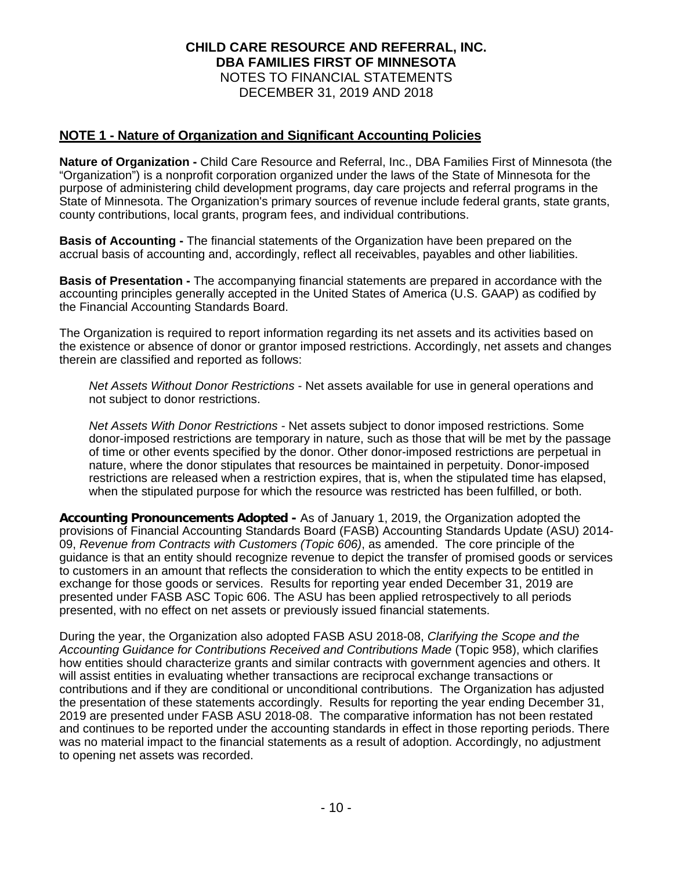## **NOTE 1 - Nature of Organization and Significant Accounting Policies**

**Nature of Organization -** Child Care Resource and Referral, Inc., DBA Families First of Minnesota (the "Organization") is a nonprofit corporation organized under the laws of the State of Minnesota for the purpose of administering child development programs, day care projects and referral programs in the State of Minnesota. The Organization's primary sources of revenue include federal grants, state grants, county contributions, local grants, program fees, and individual contributions.

**Basis of Accounting - The financial statements of the Organization have been prepared on the** accrual basis of accounting and, accordingly, reflect all receivables, payables and other liabilities.

**Basis of Presentation -** The accompanying financial statements are prepared in accordance with the accounting principles generally accepted in the United States of America (U.S. GAAP) as codified by the Financial Accounting Standards Board.

The Organization is required to report information regarding its net assets and its activities based on the existence or absence of donor or grantor imposed restrictions. Accordingly, net assets and changes therein are classified and reported as follows:

*Net Assets Without Donor Restrictions* - Net assets available for use in general operations and not subject to donor restrictions.

*Net Assets With Donor Restrictions -* Net assets subject to donor imposed restrictions. Some donor-imposed restrictions are temporary in nature, such as those that will be met by the passage of time or other events specified by the donor. Other donor-imposed restrictions are perpetual in nature, where the donor stipulates that resources be maintained in perpetuity. Donor-imposed restrictions are released when a restriction expires, that is, when the stipulated time has elapsed, when the stipulated purpose for which the resource was restricted has been fulfilled, or both.

**Accounting Pronouncements Adopted -** As of January 1, 2019, the Organization adopted the provisions of Financial Accounting Standards Board (FASB) Accounting Standards Update (ASU) 2014- 09, *Revenue from Contracts with Customers (Topic 606)*, as amended. The core principle of the guidance is that an entity should recognize revenue to depict the transfer of promised goods or services to customers in an amount that reflects the consideration to which the entity expects to be entitled in exchange for those goods or services. Results for reporting year ended December 31, 2019 are presented under FASB ASC Topic 606. The ASU has been applied retrospectively to all periods presented, with no effect on net assets or previously issued financial statements.

During the year, the Organization also adopted FASB ASU 2018-08, *Clarifying the Scope and the Accounting Guidance for Contributions Received and Contributions Made* (Topic 958), which clarifies how entities should characterize grants and similar contracts with government agencies and others. It will assist entities in evaluating whether transactions are reciprocal exchange transactions or contributions and if they are conditional or unconditional contributions. The Organization has adjusted the presentation of these statements accordingly. Results for reporting the year ending December 31, 2019 are presented under FASB ASU 2018-08. The comparative information has not been restated and continues to be reported under the accounting standards in effect in those reporting periods. There was no material impact to the financial statements as a result of adoption. Accordingly, no adjustment to opening net assets was recorded.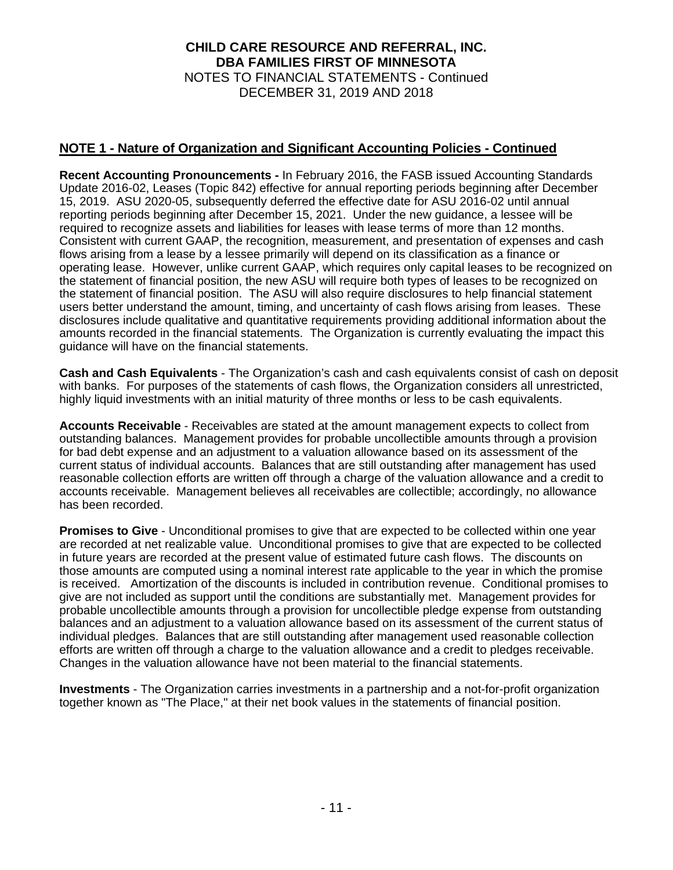# **NOTE 1 - Nature of Organization and Significant Accounting Policies - Continued**

**Recent Accounting Pronouncements -** In February 2016, the FASB issued Accounting Standards Update 2016-02, Leases (Topic 842) effective for annual reporting periods beginning after December 15, 2019. ASU 2020-05, subsequently deferred the effective date for ASU 2016-02 until annual reporting periods beginning after December 15, 2021. Under the new guidance, a lessee will be required to recognize assets and liabilities for leases with lease terms of more than 12 months. Consistent with current GAAP, the recognition, measurement, and presentation of expenses and cash flows arising from a lease by a lessee primarily will depend on its classification as a finance or operating lease. However, unlike current GAAP, which requires only capital leases to be recognized on the statement of financial position, the new ASU will require both types of leases to be recognized on the statement of financial position. The ASU will also require disclosures to help financial statement users better understand the amount, timing, and uncertainty of cash flows arising from leases. These disclosures include qualitative and quantitative requirements providing additional information about the amounts recorded in the financial statements. The Organization is currently evaluating the impact this guidance will have on the financial statements.

**Cash and Cash Equivalents** - The Organization's cash and cash equivalents consist of cash on deposit with banks. For purposes of the statements of cash flows, the Organization considers all unrestricted, highly liquid investments with an initial maturity of three months or less to be cash equivalents.

**Accounts Receivable** - Receivables are stated at the amount management expects to collect from outstanding balances. Management provides for probable uncollectible amounts through a provision for bad debt expense and an adjustment to a valuation allowance based on its assessment of the current status of individual accounts. Balances that are still outstanding after management has used reasonable collection efforts are written off through a charge of the valuation allowance and a credit to accounts receivable. Management believes all receivables are collectible; accordingly, no allowance has been recorded.

**Promises to Give** - Unconditional promises to give that are expected to be collected within one year are recorded at net realizable value. Unconditional promises to give that are expected to be collected in future years are recorded at the present value of estimated future cash flows. The discounts on those amounts are computed using a nominal interest rate applicable to the year in which the promise is received. Amortization of the discounts is included in contribution revenue. Conditional promises to give are not included as support until the conditions are substantially met. Management provides for probable uncollectible amounts through a provision for uncollectible pledge expense from outstanding balances and an adjustment to a valuation allowance based on its assessment of the current status of individual pledges. Balances that are still outstanding after management used reasonable collection efforts are written off through a charge to the valuation allowance and a credit to pledges receivable. Changes in the valuation allowance have not been material to the financial statements.

**Investments** - The Organization carries investments in a partnership and a not-for-profit organization together known as "The Place," at their net book values in the statements of financial position.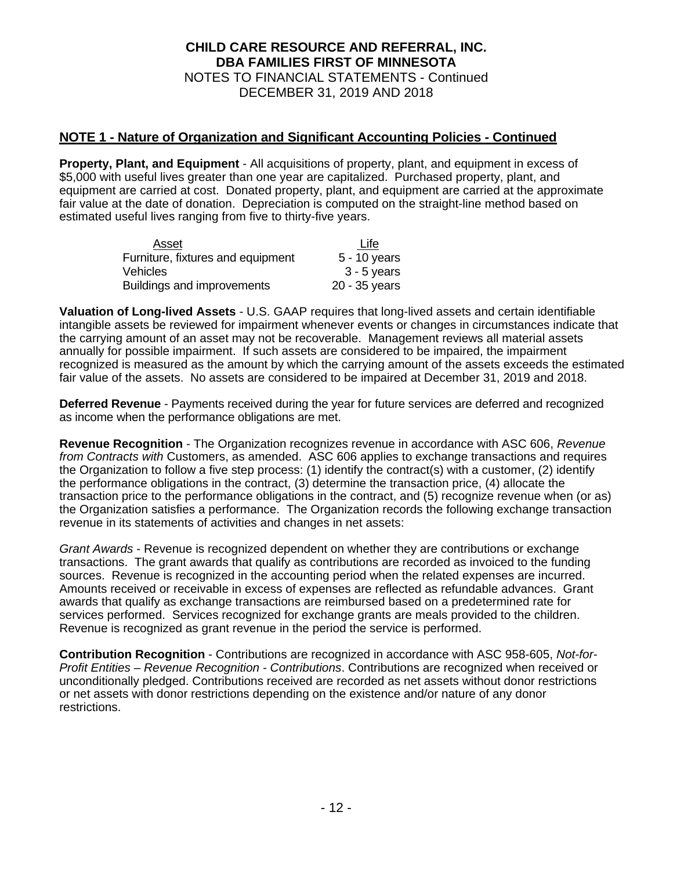#### **NOTE 1 - Nature of Organization and Significant Accounting Policies - Continued**

**Property, Plant, and Equipment** - All acquisitions of property, plant, and equipment in excess of \$5,000 with useful lives greater than one year are capitalized. Purchased property, plant, and equipment are carried at cost. Donated property, plant, and equipment are carried at the approximate fair value at the date of donation. Depreciation is computed on the straight-line method based on estimated useful lives ranging from five to thirty-five years.

| Asset                             | Life            |
|-----------------------------------|-----------------|
| Furniture, fixtures and equipment | $5 - 10$ years  |
| <b>Vehicles</b>                   | $3 - 5$ years   |
| Buildings and improvements        | $20 - 35$ years |

**Valuation of Long-lived Assets** - U.S. GAAP requires that long-lived assets and certain identifiable intangible assets be reviewed for impairment whenever events or changes in circumstances indicate that the carrying amount of an asset may not be recoverable. Management reviews all material assets annually for possible impairment. If such assets are considered to be impaired, the impairment recognized is measured as the amount by which the carrying amount of the assets exceeds the estimated fair value of the assets. No assets are considered to be impaired at December 31, 2019 and 2018.

**Deferred Revenue** - Payments received during the year for future services are deferred and recognized as income when the performance obligations are met.

**Revenue Recognition** - The Organization recognizes revenue in accordance with ASC 606, *Revenue from Contracts with* Customers, as amended. ASC 606 applies to exchange transactions and requires the Organization to follow a five step process: (1) identify the contract(s) with a customer, (2) identify the performance obligations in the contract, (3) determine the transaction price, (4) allocate the transaction price to the performance obligations in the contract, and (5) recognize revenue when (or as) the Organization satisfies a performance. The Organization records the following exchange transaction revenue in its statements of activities and changes in net assets:

*Grant Awards* - Revenue is recognized dependent on whether they are contributions or exchange transactions. The grant awards that qualify as contributions are recorded as invoiced to the funding sources. Revenue is recognized in the accounting period when the related expenses are incurred. Amounts received or receivable in excess of expenses are reflected as refundable advances. Grant awards that qualify as exchange transactions are reimbursed based on a predetermined rate for services performed. Services recognized for exchange grants are meals provided to the children. Revenue is recognized as grant revenue in the period the service is performed.

**Contribution Recognition** - Contributions are recognized in accordance with ASC 958-605, *Not-for-Profit Entities – Revenue Recognition - Contributions*. Contributions are recognized when received or unconditionally pledged. Contributions received are recorded as net assets without donor restrictions or net assets with donor restrictions depending on the existence and/or nature of any donor restrictions.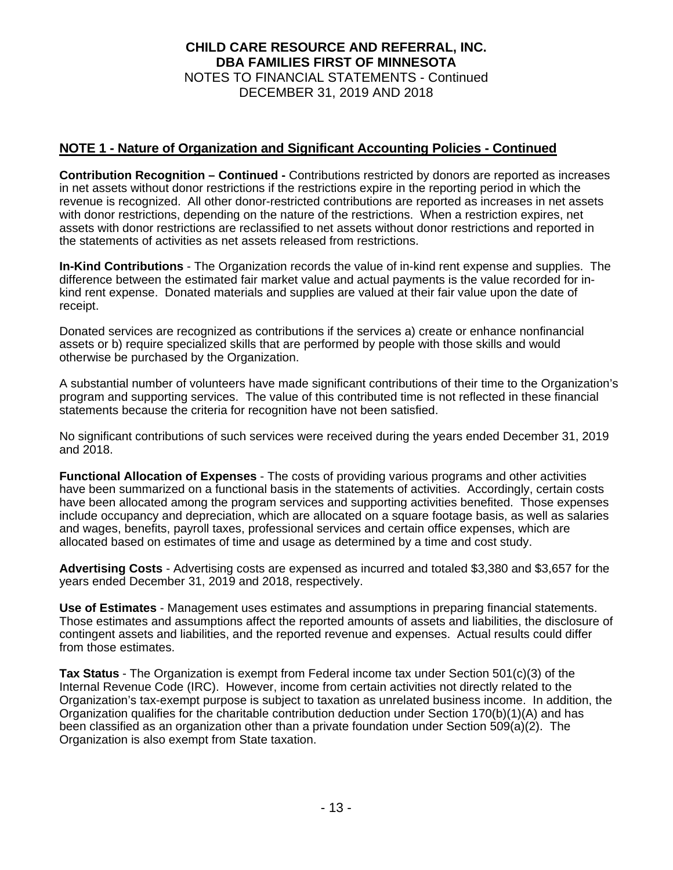# **NOTE 1 - Nature of Organization and Significant Accounting Policies - Continued**

**Contribution Recognition – Continued -** Contributions restricted by donors are reported as increases in net assets without donor restrictions if the restrictions expire in the reporting period in which the revenue is recognized. All other donor-restricted contributions are reported as increases in net assets with donor restrictions, depending on the nature of the restrictions. When a restriction expires, net assets with donor restrictions are reclassified to net assets without donor restrictions and reported in the statements of activities as net assets released from restrictions.

**In-Kind Contributions** - The Organization records the value of in-kind rent expense and supplies. The difference between the estimated fair market value and actual payments is the value recorded for inkind rent expense. Donated materials and supplies are valued at their fair value upon the date of receipt.

Donated services are recognized as contributions if the services a) create or enhance nonfinancial assets or b) require specialized skills that are performed by people with those skills and would otherwise be purchased by the Organization.

A substantial number of volunteers have made significant contributions of their time to the Organization's program and supporting services. The value of this contributed time is not reflected in these financial statements because the criteria for recognition have not been satisfied.

No significant contributions of such services were received during the years ended December 31, 2019 and 2018.

**Functional Allocation of Expenses** - The costs of providing various programs and other activities have been summarized on a functional basis in the statements of activities. Accordingly, certain costs have been allocated among the program services and supporting activities benefited. Those expenses include occupancy and depreciation, which are allocated on a square footage basis, as well as salaries and wages, benefits, payroll taxes, professional services and certain office expenses, which are allocated based on estimates of time and usage as determined by a time and cost study.

**Advertising Costs** - Advertising costs are expensed as incurred and totaled \$3,380 and \$3,657 for the years ended December 31, 2019 and 2018, respectively.

**Use of Estimates** - Management uses estimates and assumptions in preparing financial statements. Those estimates and assumptions affect the reported amounts of assets and liabilities, the disclosure of contingent assets and liabilities, and the reported revenue and expenses. Actual results could differ from those estimates.

**Tax Status** - The Organization is exempt from Federal income tax under Section 501(c)(3) of the Internal Revenue Code (IRC). However, income from certain activities not directly related to the Organization's tax-exempt purpose is subject to taxation as unrelated business income. In addition, the Organization qualifies for the charitable contribution deduction under Section 170(b)(1)(A) and has been classified as an organization other than a private foundation under Section 509(a)(2). The Organization is also exempt from State taxation.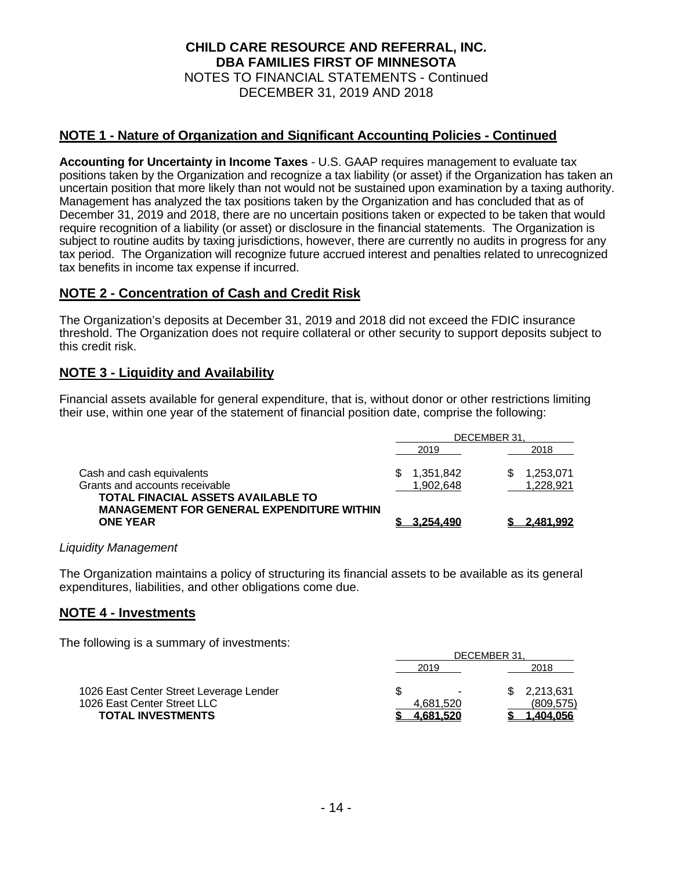# **NOTE 1 - Nature of Organization and Significant Accounting Policies - Continued**

**Accounting for Uncertainty in Income Taxes** - U.S. GAAP requires management to evaluate tax positions taken by the Organization and recognize a tax liability (or asset) if the Organization has taken an uncertain position that more likely than not would not be sustained upon examination by a taxing authority. Management has analyzed the tax positions taken by the Organization and has concluded that as of December 31, 2019 and 2018, there are no uncertain positions taken or expected to be taken that would require recognition of a liability (or asset) or disclosure in the financial statements. The Organization is subject to routine audits by taxing jurisdictions, however, there are currently no audits in progress for any tax period. The Organization will recognize future accrued interest and penalties related to unrecognized tax benefits in income tax expense if incurred.

#### **NOTE 2 - Concentration of Cash and Credit Risk**

The Organization's deposits at December 31, 2019 and 2018 did not exceed the FDIC insurance threshold. The Organization does not require collateral or other security to support deposits subject to this credit risk.

#### **NOTE 3 - Liquidity and Availability**

Financial assets available for general expenditure, that is, without donor or other restrictions limiting their use, within one year of the statement of financial position date, comprise the following:

|                                                                                                                                                       |                        | DECEMBER 31            |  |  |  |
|-------------------------------------------------------------------------------------------------------------------------------------------------------|------------------------|------------------------|--|--|--|
|                                                                                                                                                       | 2019                   | 2018                   |  |  |  |
| Cash and cash equivalents<br>Grants and accounts receivable<br>TOTAL FINACIAL ASSETS AVAILABLE TO<br><b>MANAGEMENT FOR GENERAL EXPENDITURE WITHIN</b> | 1,351,842<br>1,902,648 | 1,253,071<br>1,228,921 |  |  |  |
| <b>ONE YEAR</b>                                                                                                                                       | 3.254.490              | 2.481.992              |  |  |  |

#### *Liquidity Management*

The Organization maintains a policy of structuring its financial assets to be available as its general expenditures, liabilities, and other obligations come due.

#### **NOTE 4 - Investments**

The following is a summary of investments:

|                                                                                                    |                                                     | <b>DECEMBER 31</b>                    |  |  |  |  |
|----------------------------------------------------------------------------------------------------|-----------------------------------------------------|---------------------------------------|--|--|--|--|
|                                                                                                    | 2019                                                | 2018                                  |  |  |  |  |
| 1026 East Center Street Leverage Lender<br>1026 East Center Street LLC<br><b>TOTAL INVESTMENTS</b> | S<br>$\tilde{\phantom{a}}$<br>4,681,520<br>.681.520 | \$2,213,631<br>(809, 575)<br>.404.056 |  |  |  |  |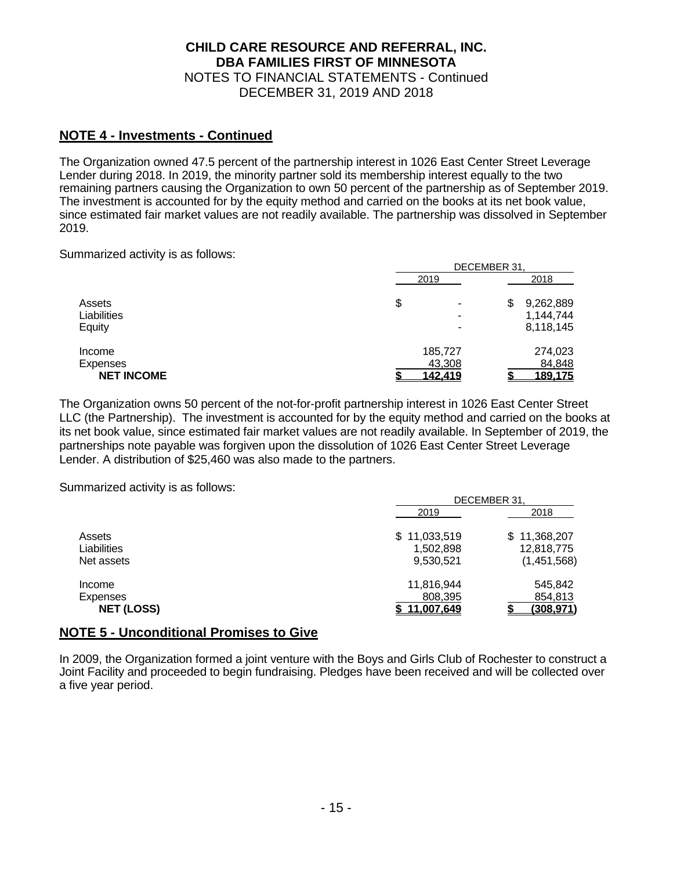# **NOTE 4 - Investments - Continued**

The Organization owned 47.5 percent of the partnership interest in 1026 East Center Street Leverage Lender during 2018. In 2019, the minority partner sold its membership interest equally to the two remaining partners causing the Organization to own 50 percent of the partnership as of September 2019. The investment is accounted for by the equity method and carried on the books at its net book value, since estimated fair market values are not readily available. The partnership was dissolved in September 2019.

Summarized activity is as follows:

|                   | DECEMBER 31. |    |           |  |  |  |
|-------------------|--------------|----|-----------|--|--|--|
|                   | 2019         |    | 2018      |  |  |  |
| Assets            | \$           | \$ | 9,262,889 |  |  |  |
| Liabilities       | -            |    | 1,144,744 |  |  |  |
| Equity            |              |    | 8,118,145 |  |  |  |
| Income            | 185,727      |    | 274,023   |  |  |  |
| <b>Expenses</b>   | 43,308       |    | 84,848    |  |  |  |
| <b>NET INCOME</b> | 142,419      |    | 189,175   |  |  |  |

The Organization owns 50 percent of the not-for-profit partnership interest in 1026 East Center Street LLC (the Partnership). The investment is accounted for by the equity method and carried on the books at its net book value, since estimated fair market values are not readily available. In September of 2019, the partnerships note payable was forgiven upon the dissolution of 1026 East Center Street Leverage Lender. A distribution of \$25,460 was also made to the partners.

Summarized activity is as follows:

|                   | DECEMBER 31       |              |  |  |  |
|-------------------|-------------------|--------------|--|--|--|
|                   | 2019              | 2018         |  |  |  |
| Assets            | 11,033,519<br>\$. | \$11,368,207 |  |  |  |
| Liabilities       | 1,502,898         | 12,818,775   |  |  |  |
| Net assets        | 9,530,521         | (1,451,568)  |  |  |  |
| Income            | 11,816,944        | 545,842      |  |  |  |
| <b>Expenses</b>   | 808,395           | 854,813      |  |  |  |
| <b>NET (LOSS)</b> | 11,007,649        | (308, 971)   |  |  |  |

#### **NOTE 5 - Unconditional Promises to Give**

In 2009, the Organization formed a joint venture with the Boys and Girls Club of Rochester to construct a Joint Facility and proceeded to begin fundraising. Pledges have been received and will be collected over a five year period.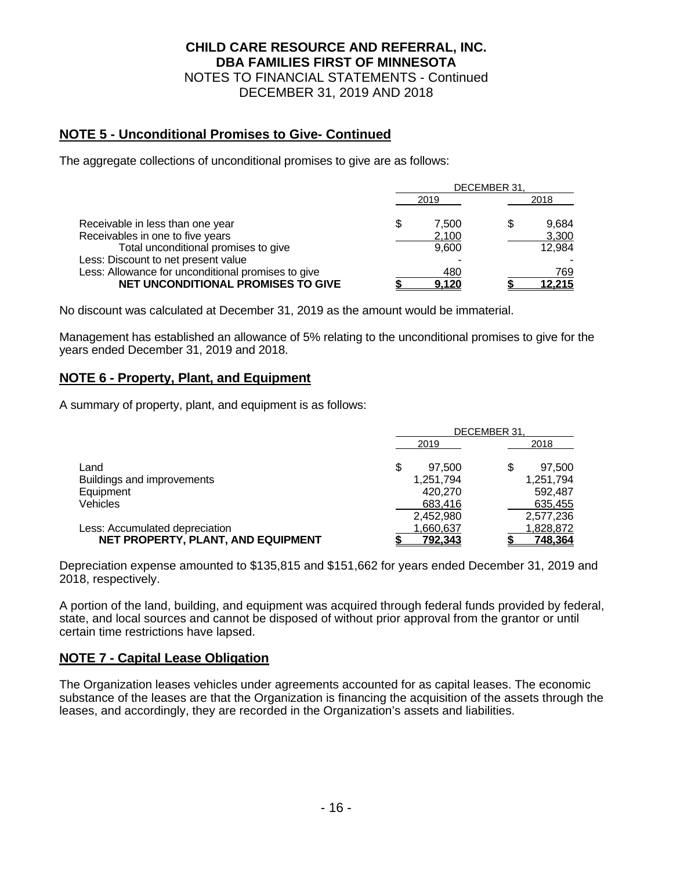# **NOTE 5 - Unconditional Promises to Give- Continued**

The aggregate collections of unconditional promises to give are as follows:

|                                                    | DECEMBER 31. |      |        |  |  |
|----------------------------------------------------|--------------|------|--------|--|--|
|                                                    | 2019         | 2018 |        |  |  |
| Receivable in less than one year                   | 7,500        |      | 9.684  |  |  |
| Receivables in one to five years                   | 2,100        |      | 3,300  |  |  |
| Total unconditional promises to give               | 9.600        |      | 12,984 |  |  |
| Less: Discount to net present value                |              |      |        |  |  |
| Less: Allowance for unconditional promises to give | 480          |      | 769    |  |  |
| NET UNCONDITIONAL PROMISES TO GIVE                 | 9.120        |      | 12.215 |  |  |

No discount was calculated at December 31, 2019 as the amount would be immaterial.

Management has established an allowance of 5% relating to the unconditional promises to give for the years ended December 31, 2019 and 2018.

#### **NOTE 6 - Property, Plant, and Equipment**

A summary of property, plant, and equipment is as follows:

|                                    | DECEMBER 31  |                |
|------------------------------------|--------------|----------------|
|                                    | 2019         | 2018           |
| Land                               | \$<br>97.500 | 97,500         |
| Buildings and improvements         | 1,251,794    | 1,251,794      |
| Equipment                          | 420.270      | 592,487        |
| Vehicles                           | 683.416      | 635,455        |
|                                    | 2,452,980    | 2,577,236      |
| Less: Accumulated depreciation     | 1,660,637    | 1,828,872      |
| NET PROPERTY, PLANT, AND EQUIPMENT | 792.343      | <u>748.364</u> |

Depreciation expense amounted to \$135,815 and \$151,662 for years ended December 31, 2019 and 2018, respectively.

A portion of the land, building, and equipment was acquired through federal funds provided by federal, state, and local sources and cannot be disposed of without prior approval from the grantor or until certain time restrictions have lapsed.

#### **NOTE 7 - Capital Lease Obligation**

The Organization leases vehicles under agreements accounted for as capital leases. The economic substance of the leases are that the Organization is financing the acquisition of the assets through the leases, and accordingly, they are recorded in the Organization's assets and liabilities.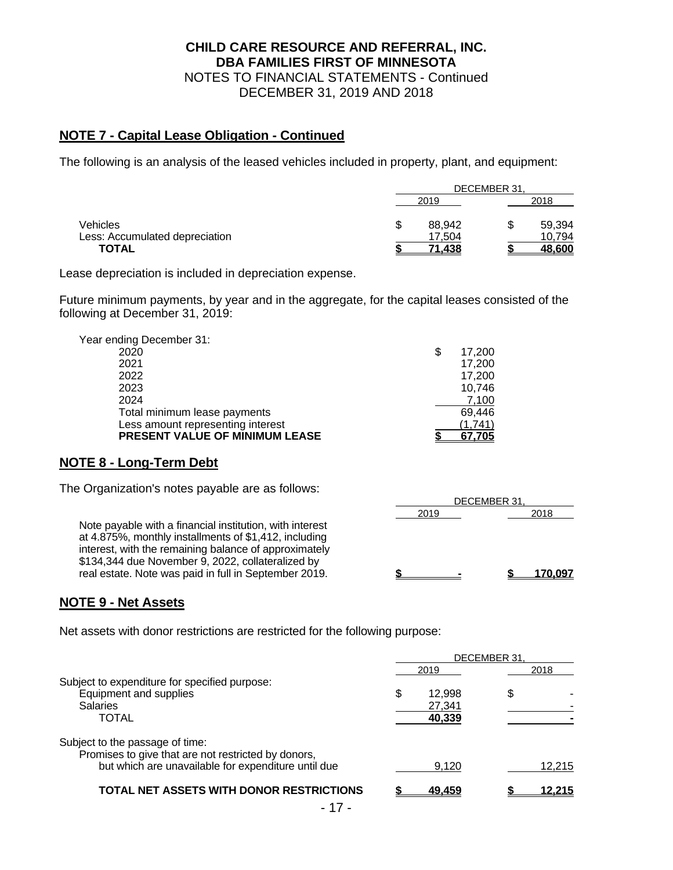#### **NOTE 7 - Capital Lease Obligation - Continued**

The following is an analysis of the leased vehicles included in property, plant, and equipment:

|                                | DECEMBER 31 |        |   |        |
|--------------------------------|-------------|--------|---|--------|
|                                |             | 2019   |   | 2018   |
| Vehicles                       | ۰D          | 88.942 | S | 59,394 |
| Less: Accumulated depreciation |             | 17,504 |   | 10.794 |
| <b>TOTAL</b>                   |             | 71.438 |   | 48.600 |

Lease depreciation is included in depreciation expense.

Future minimum payments, by year and in the aggregate, for the capital leases consisted of the following at December 31, 2019:

| Year ending December 31:              |             |
|---------------------------------------|-------------|
| 2020                                  | S<br>17.200 |
| 2021                                  | 17,200      |
| 2022                                  | 17,200      |
| 2023                                  | 10,746      |
| 2024                                  | 7,100       |
| Total minimum lease payments          | 69,446      |
| Less amount representing interest     | (1.741)     |
| <b>PRESENT VALUE OF MINIMUM LEASE</b> |             |
|                                       |             |

#### **NOTE 8 - Long-Term Debt**

The Organization's notes payable are as follows:

|                                                          | DECEMBER 31 |         |
|----------------------------------------------------------|-------------|---------|
|                                                          | 2019        | 2018    |
| Note payable with a financial institution, with interest |             |         |
| at 4.875%, monthly installments of \$1,412, including    |             |         |
| interest, with the remaining balance of approximately    |             |         |
| \$134,344 due November 9, 2022, collateralized by        |             |         |
| real estate. Note was paid in full in September 2019.    |             | 170.097 |

#### **NOTE 9 - Net Assets**

Net assets with donor restrictions are restricted for the following purpose:

|                                                                                                                                               | DECEMBER 31                     |        |
|-----------------------------------------------------------------------------------------------------------------------------------------------|---------------------------------|--------|
|                                                                                                                                               | 2019                            | 2018   |
| Subject to expenditure for specified purpose:<br>Equipment and supplies<br><b>Salaries</b><br><b>TOTAL</b>                                    | 12,998<br>S<br>27,341<br>40,339 | \$     |
| Subject to the passage of time:<br>Promises to give that are not restricted by donors,<br>but which are unavailable for expenditure until due | 9,120                           | 12.215 |
| TOTAL NET ASSETS WITH DONOR RESTRICTIONS                                                                                                      | 49.459                          | 12.215 |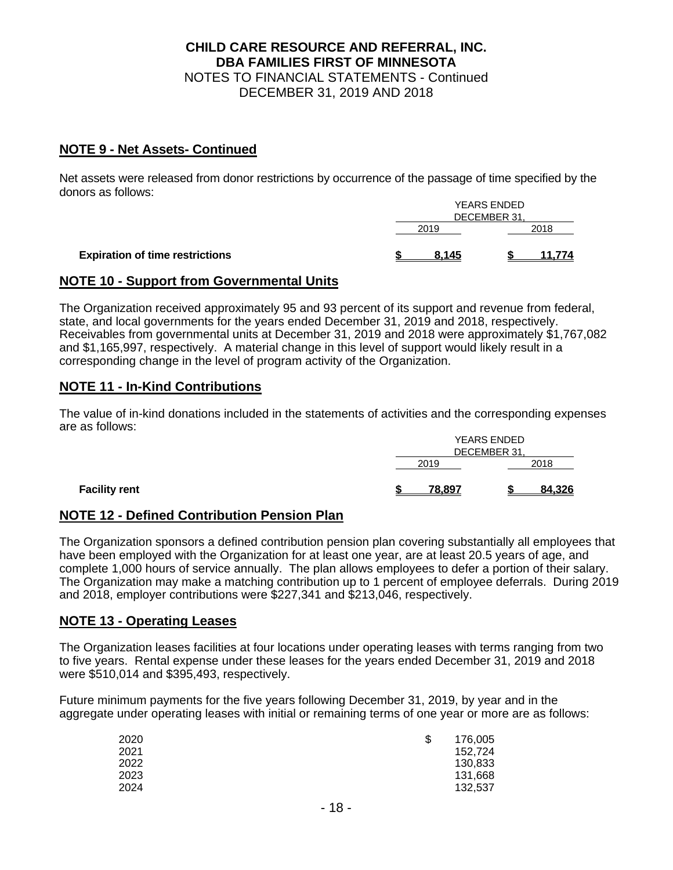#### **NOTE 9 - Net Assets- Continued**

Net assets were released from donor restrictions by occurrence of the passage of time specified by the donors as follows:

| <b>Expiration of time restrictions</b> | 8 145              | 11 77 <i>a</i> |
|----------------------------------------|--------------------|----------------|
|                                        | 2019               | 2018           |
|                                        | DECEMBER 31.       |                |
|                                        | <b>YEARS ENDED</b> |                |

#### **NOTE 10 - Support from Governmental Units**

The Organization received approximately 95 and 93 percent of its support and revenue from federal, state, and local governments for the years ended December 31, 2019 and 2018, respectively. Receivables from governmental units at December 31, 2019 and 2018 were approximately \$1,767,082 and \$1,165,997, respectively. A material change in this level of support would likely result in a corresponding change in the level of program activity of the Organization.

#### **NOTE 11 - In-Kind Contributions**

The value of in-kind donations included in the statements of activities and the corresponding expenses are as follows:

|                      |        | <b>YEARS ENDED</b><br>DECEMBER 31, |  |
|----------------------|--------|------------------------------------|--|
|                      | 2019   | 2018                               |  |
| <b>Facility rent</b> | 78.897 | 84.326                             |  |

#### **NOTE 12 - Defined Contribution Pension Plan**

The Organization sponsors a defined contribution pension plan covering substantially all employees that have been employed with the Organization for at least one year, are at least 20.5 years of age, and complete 1,000 hours of service annually. The plan allows employees to defer a portion of their salary. The Organization may make a matching contribution up to 1 percent of employee deferrals. During 2019 and 2018, employer contributions were \$227,341 and \$213,046, respectively.

#### **NOTE 13 - Operating Leases**

The Organization leases facilities at four locations under operating leases with terms ranging from two to five years. Rental expense under these leases for the years ended December 31, 2019 and 2018 were \$510,014 and \$395,493, respectively.

Future minimum payments for the five years following December 31, 2019, by year and in the aggregate under operating leases with initial or remaining terms of one year or more are as follows:

| 2020 | S | 176,005 |
|------|---|---------|
| 2021 |   | 152,724 |
| 2022 |   | 130,833 |
| 2023 |   | 131,668 |
| 2024 |   | 132,537 |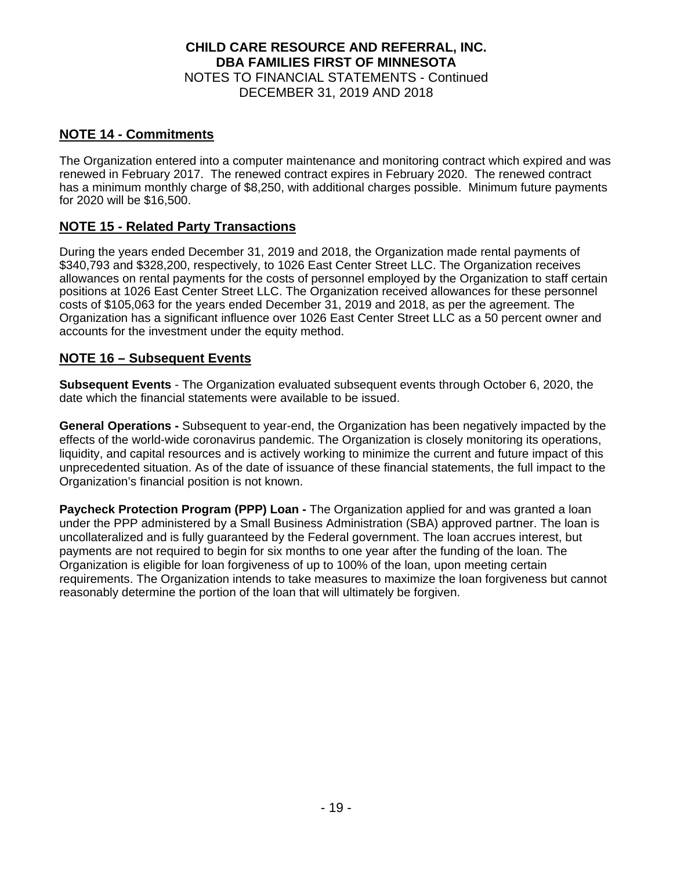# **NOTE 14 - Commitments**

The Organization entered into a computer maintenance and monitoring contract which expired and was renewed in February 2017. The renewed contract expires in February 2020. The renewed contract has a minimum monthly charge of \$8,250, with additional charges possible. Minimum future payments for 2020 will be \$16,500.

# **NOTE 15 - Related Party Transactions**

During the years ended December 31, 2019 and 2018, the Organization made rental payments of \$340,793 and \$328,200, respectively, to 1026 East Center Street LLC. The Organization receives allowances on rental payments for the costs of personnel employed by the Organization to staff certain positions at 1026 East Center Street LLC. The Organization received allowances for these personnel costs of \$105,063 for the years ended December 31, 2019 and 2018, as per the agreement. The Organization has a significant influence over 1026 East Center Street LLC as a 50 percent owner and accounts for the investment under the equity method.

#### **NOTE 16 – Subsequent Events**

**Subsequent Events** - The Organization evaluated subsequent events through October 6, 2020, the date which the financial statements were available to be issued.

**General Operations -** Subsequent to year-end, the Organization has been negatively impacted by the effects of the world-wide coronavirus pandemic. The Organization is closely monitoring its operations, liquidity, and capital resources and is actively working to minimize the current and future impact of this unprecedented situation. As of the date of issuance of these financial statements, the full impact to the Organization's financial position is not known.

**Paycheck Protection Program (PPP) Loan -** The Organization applied for and was granted a loan under the PPP administered by a Small Business Administration (SBA) approved partner. The loan is uncollateralized and is fully guaranteed by the Federal government. The loan accrues interest, but payments are not required to begin for six months to one year after the funding of the loan. The Organization is eligible for loan forgiveness of up to 100% of the loan, upon meeting certain requirements. The Organization intends to take measures to maximize the loan forgiveness but cannot reasonably determine the portion of the loan that will ultimately be forgiven.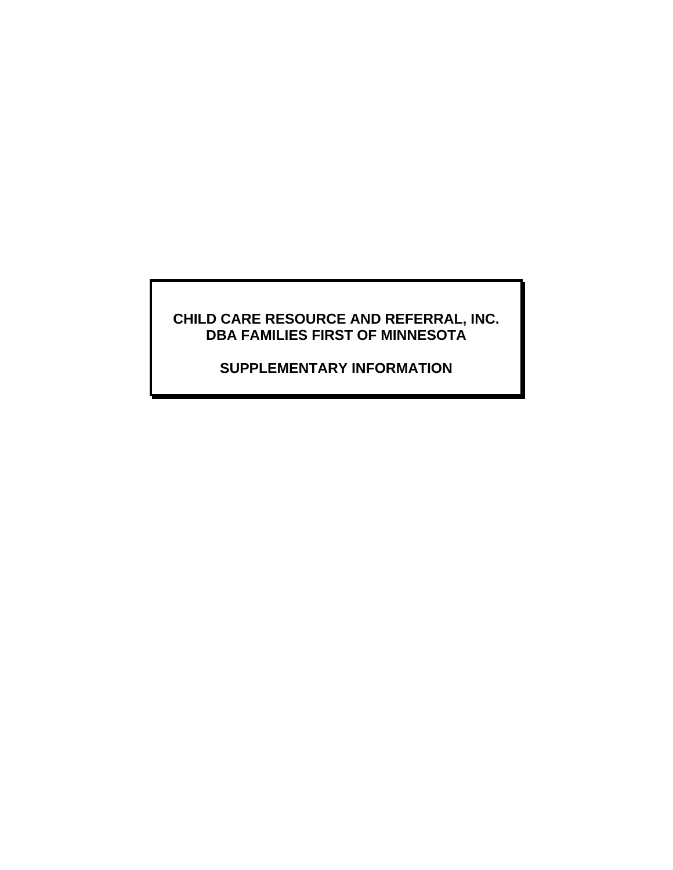# **CHILD CARE RESOURCE AND REFERRAL, INC. DBA FAMILIES FIRST OF MINNESOTA**

**SUPPLEMENTARY INFORMATION**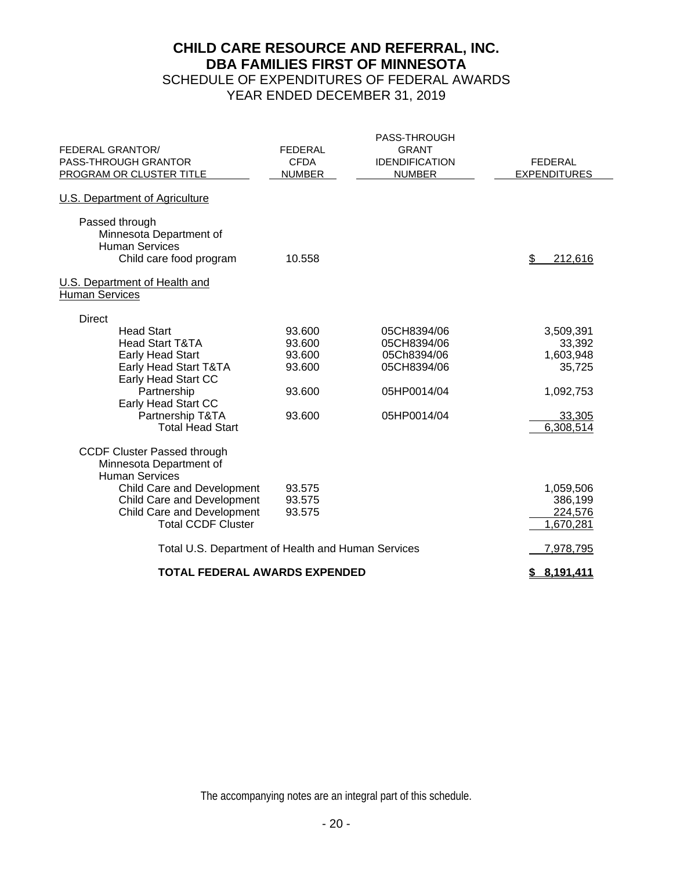# **CHILD CARE RESOURCE AND REFERRAL, INC. DBA FAMILIES FIRST OF MINNESOTA**  SCHEDULE OF EXPENDITURES OF FEDERAL AWARDS YEAR ENDED DECEMBER 31, 2019

| <b>FEDERAL GRANTOR/</b><br><b>PASS-THROUGH GRANTOR</b><br>PROGRAM OR CLUSTER TITLE            | <b>FEDERAL</b><br><b>CFDA</b><br><b>NUMBER</b> | <b>PASS-THROUGH</b><br><b>GRANT</b><br><b>IDENDIFICATION</b><br><b>NUMBER</b> | <b>FEDERAL</b><br><b>EXPENDITURES</b> |
|-----------------------------------------------------------------------------------------------|------------------------------------------------|-------------------------------------------------------------------------------|---------------------------------------|
| U.S. Department of Agriculture                                                                |                                                |                                                                               |                                       |
| Passed through<br>Minnesota Department of<br><b>Human Services</b><br>Child care food program | 10.558                                         |                                                                               | \$<br>212,616                         |
| U.S. Department of Health and<br><b>Human Services</b>                                        |                                                |                                                                               |                                       |
| <b>Direct</b>                                                                                 |                                                |                                                                               |                                       |
| <b>Head Start</b>                                                                             | 93.600                                         | 05CH8394/06                                                                   | 3,509,391                             |
| <b>Head Start T&amp;TA</b>                                                                    | 93.600                                         | 05CH8394/06                                                                   | 33,392                                |
| Early Head Start                                                                              | 93.600                                         | 05Ch8394/06                                                                   | 1,603,948                             |
| Early Head Start T&TA                                                                         | 93.600                                         | 05CH8394/06                                                                   | 35,725                                |
| Early Head Start CC                                                                           |                                                |                                                                               |                                       |
| Partnership                                                                                   | 93.600                                         | 05HP0014/04                                                                   | 1,092,753                             |
| Early Head Start CC                                                                           |                                                |                                                                               |                                       |
| Partnership T&TA<br><b>Total Head Start</b>                                                   | 93.600                                         | 05HP0014/04                                                                   | 33,305<br>6,308,514                   |
| <b>CCDF Cluster Passed through</b><br>Minnesota Department of<br><b>Human Services</b>        |                                                |                                                                               |                                       |
| Child Care and Development                                                                    | 93.575                                         |                                                                               | 1,059,506                             |
| Child Care and Development                                                                    | 93.575                                         |                                                                               | 386,199                               |
| Child Care and Development<br><b>Total CCDF Cluster</b>                                       | 93.575                                         |                                                                               | 224,576<br>1,670,281                  |
| Total U.S. Department of Health and Human Services                                            |                                                |                                                                               | 7,978,795                             |
| TOTAL FEDERAL AWARDS EXPENDED                                                                 |                                                |                                                                               | \$8,191,411                           |

The accompanying notes are an integral part of this schedule.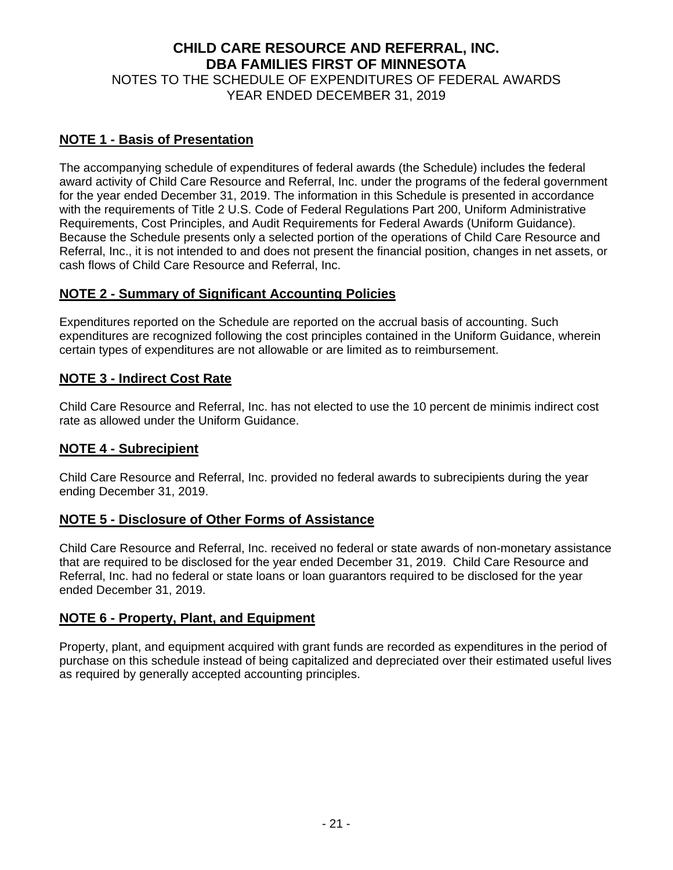# **CHILD CARE RESOURCE AND REFERRAL, INC. DBA FAMILIES FIRST OF MINNESOTA**  NOTES TO THE SCHEDULE OF EXPENDITURES OF FEDERAL AWARDS YEAR ENDED DECEMBER 31, 2019

# **NOTE 1 - Basis of Presentation**

The accompanying schedule of expenditures of federal awards (the Schedule) includes the federal award activity of Child Care Resource and Referral, Inc. under the programs of the federal government for the year ended December 31, 2019. The information in this Schedule is presented in accordance with the requirements of Title 2 U.S. Code of Federal Regulations Part 200, Uniform Administrative Requirements, Cost Principles, and Audit Requirements for Federal Awards (Uniform Guidance). Because the Schedule presents only a selected portion of the operations of Child Care Resource and Referral, Inc., it is not intended to and does not present the financial position, changes in net assets, or cash flows of Child Care Resource and Referral, Inc.

#### **NOTE 2 - Summary of Significant Accounting Policies**

Expenditures reported on the Schedule are reported on the accrual basis of accounting. Such expenditures are recognized following the cost principles contained in the Uniform Guidance, wherein certain types of expenditures are not allowable or are limited as to reimbursement.

#### **NOTE 3 - Indirect Cost Rate**

Child Care Resource and Referral, Inc. has not elected to use the 10 percent de minimis indirect cost rate as allowed under the Uniform Guidance.

#### **NOTE 4 - Subrecipient**

Child Care Resource and Referral, Inc. provided no federal awards to subrecipients during the year ending December 31, 2019.

#### **NOTE 5 - Disclosure of Other Forms of Assistance**

Child Care Resource and Referral, Inc. received no federal or state awards of non-monetary assistance that are required to be disclosed for the year ended December 31, 2019. Child Care Resource and Referral, Inc. had no federal or state loans or loan guarantors required to be disclosed for the year ended December 31, 2019.

#### **NOTE 6 - Property, Plant, and Equipment**

Property, plant, and equipment acquired with grant funds are recorded as expenditures in the period of purchase on this schedule instead of being capitalized and depreciated over their estimated useful lives as required by generally accepted accounting principles.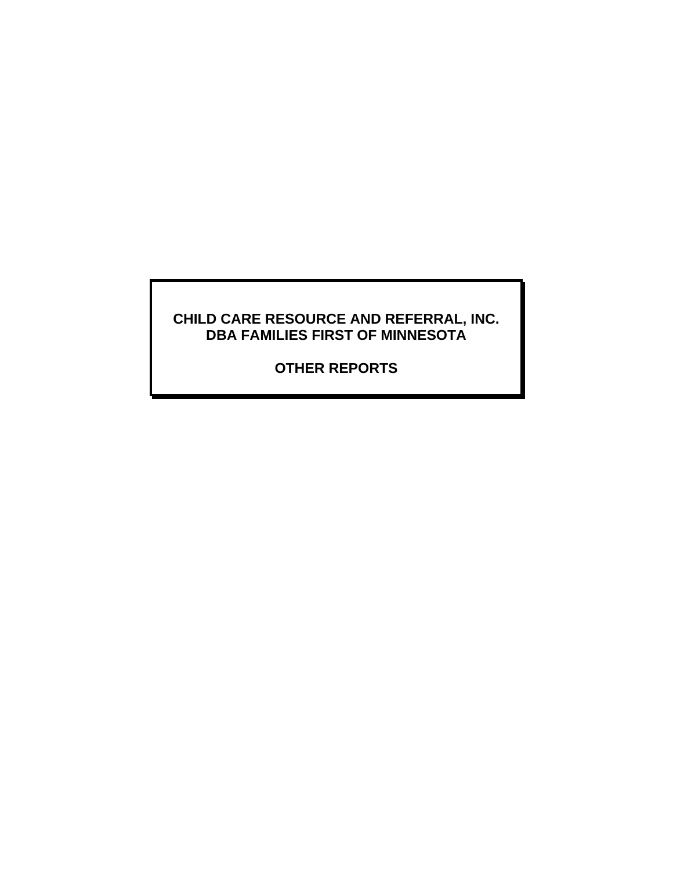# **CHILD CARE RESOURCE AND REFERRAL, INC. DBA FAMILIES FIRST OF MINNESOTA**

**OTHER REPORTS**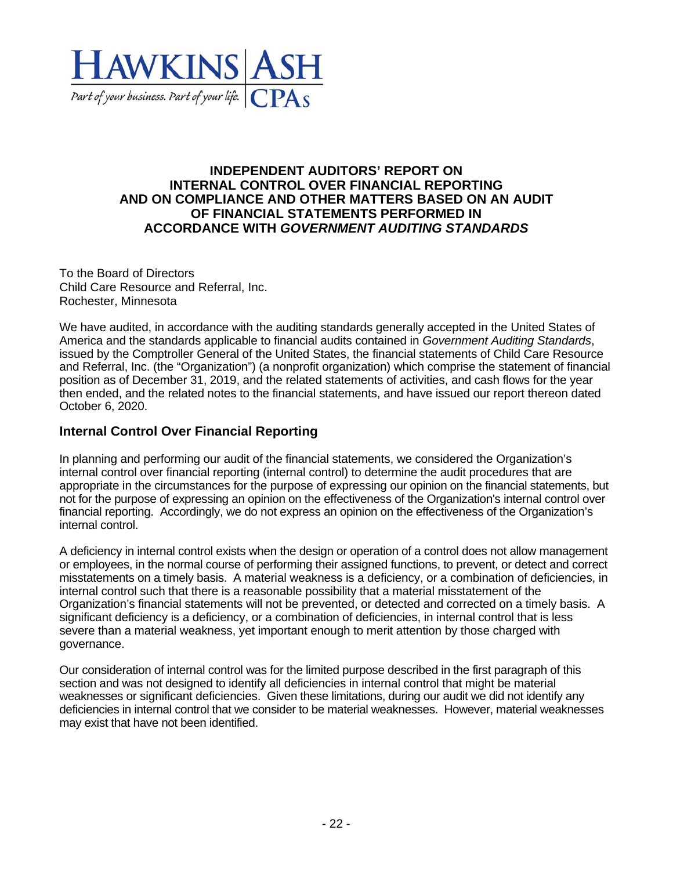

#### **INDEPENDENT AUDITORS' REPORT ON INTERNAL CONTROL OVER FINANCIAL REPORTING AND ON COMPLIANCE AND OTHER MATTERS BASED ON AN AUDIT OF FINANCIAL STATEMENTS PERFORMED IN ACCORDANCE WITH** *GOVERNMENT AUDITING STANDARDS*

To the Board of Directors Child Care Resource and Referral, Inc. Rochester, Minnesota

We have audited, in accordance with the auditing standards generally accepted in the United States of America and the standards applicable to financial audits contained in *Government Auditing Standards*, issued by the Comptroller General of the United States, the financial statements of Child Care Resource and Referral, Inc. (the "Organization") (a nonprofit organization) which comprise the statement of financial position as of December 31, 2019, and the related statements of activities, and cash flows for the year then ended, and the related notes to the financial statements, and have issued our report thereon dated October 6, 2020.

## **Internal Control Over Financial Reporting**

In planning and performing our audit of the financial statements, we considered the Organization's internal control over financial reporting (internal control) to determine the audit procedures that are appropriate in the circumstances for the purpose of expressing our opinion on the financial statements, but not for the purpose of expressing an opinion on the effectiveness of the Organization's internal control over financial reporting. Accordingly, we do not express an opinion on the effectiveness of the Organization's internal control.

A deficiency in internal control exists when the design or operation of a control does not allow management or employees, in the normal course of performing their assigned functions, to prevent, or detect and correct misstatements on a timely basis. A material weakness is a deficiency, or a combination of deficiencies, in internal control such that there is a reasonable possibility that a material misstatement of the Organization's financial statements will not be prevented, or detected and corrected on a timely basis. A significant deficiency is a deficiency, or a combination of deficiencies, in internal control that is less severe than a material weakness, yet important enough to merit attention by those charged with governance.

Our consideration of internal control was for the limited purpose described in the first paragraph of this section and was not designed to identify all deficiencies in internal control that might be material weaknesses or significant deficiencies. Given these limitations, during our audit we did not identify any deficiencies in internal control that we consider to be material weaknesses. However, material weaknesses may exist that have not been identified.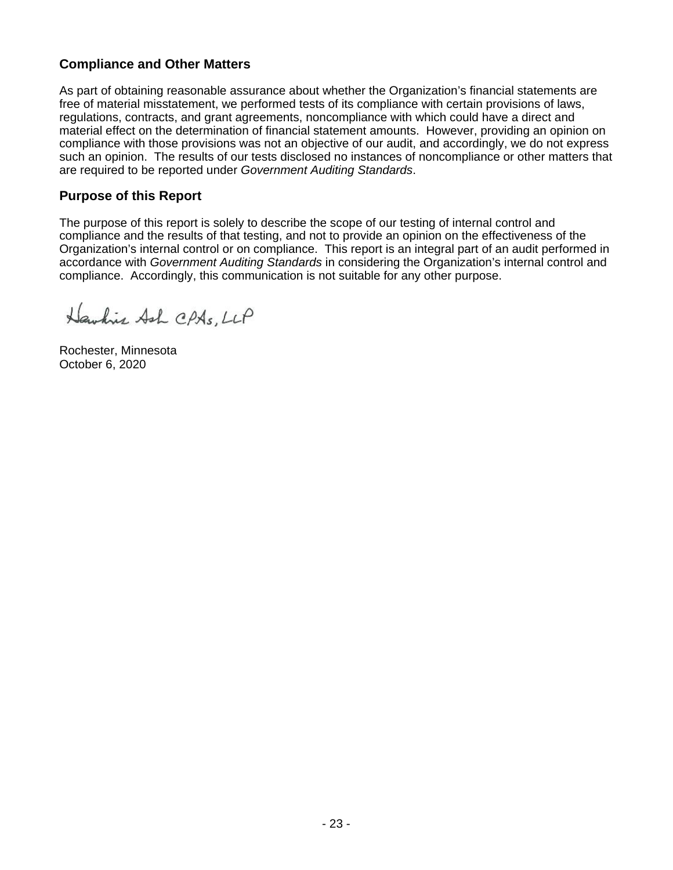# **Compliance and Other Matters**

As part of obtaining reasonable assurance about whether the Organization's financial statements are free of material misstatement, we performed tests of its compliance with certain provisions of laws, regulations, contracts, and grant agreements, noncompliance with which could have a direct and material effect on the determination of financial statement amounts. However, providing an opinion on compliance with those provisions was not an objective of our audit, and accordingly, we do not express such an opinion. The results of our tests disclosed no instances of noncompliance or other matters that are required to be reported under *Government Auditing Standards*.

#### **Purpose of this Report**

The purpose of this report is solely to describe the scope of our testing of internal control and compliance and the results of that testing, and not to provide an opinion on the effectiveness of the Organization's internal control or on compliance. This report is an integral part of an audit performed in accordance with *Government Auditing Standards* in considering the Organization's internal control and compliance. Accordingly, this communication is not suitable for any other purpose.

Hawkie Ash CPAS, LLP

Rochester, Minnesota October 6, 2020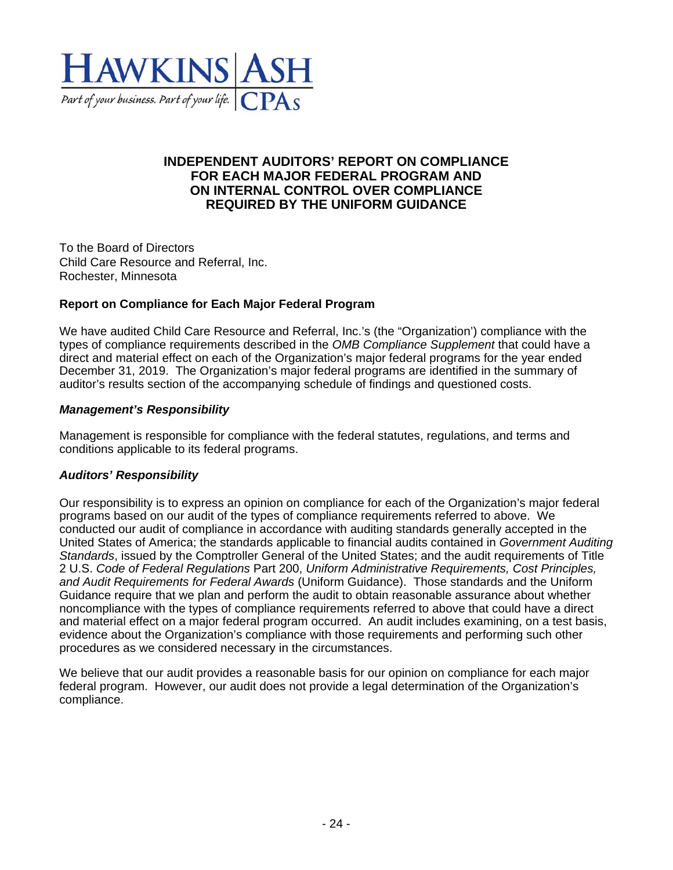

#### **INDEPENDENT AUDITORS' REPORT ON COMPLIANCE FOR EACH MAJOR FEDERAL PROGRAM AND ON INTERNAL CONTROL OVER COMPLIANCE REQUIRED BY THE UNIFORM GUIDANCE**

To the Board of Directors Child Care Resource and Referral, Inc. Rochester, Minnesota

#### **Report on Compliance for Each Major Federal Program**

We have audited Child Care Resource and Referral, Inc.'s (the "Organization') compliance with the types of compliance requirements described in the *OMB Compliance Supplement* that could have a direct and material effect on each of the Organization's major federal programs for the year ended December 31, 2019. The Organization's major federal programs are identified in the summary of auditor's results section of the accompanying schedule of findings and questioned costs.

#### *Management's Responsibility*

Management is responsible for compliance with the federal statutes, regulations, and terms and conditions applicable to its federal programs.

#### *Auditors' Responsibility*

Our responsibility is to express an opinion on compliance for each of the Organization's major federal programs based on our audit of the types of compliance requirements referred to above. We conducted our audit of compliance in accordance with auditing standards generally accepted in the United States of America; the standards applicable to financial audits contained in *Government Auditing Standards*, issued by the Comptroller General of the United States; and the audit requirements of Title 2 U.S. *Code of Federal Regulations* Part 200, *Uniform Administrative Requirements, Cost Principles, and Audit Requirements for Federal Awards* (Uniform Guidance). Those standards and the Uniform Guidance require that we plan and perform the audit to obtain reasonable assurance about whether noncompliance with the types of compliance requirements referred to above that could have a direct and material effect on a major federal program occurred. An audit includes examining, on a test basis, evidence about the Organization's compliance with those requirements and performing such other procedures as we considered necessary in the circumstances.

We believe that our audit provides a reasonable basis for our opinion on compliance for each major federal program. However, our audit does not provide a legal determination of the Organization's compliance.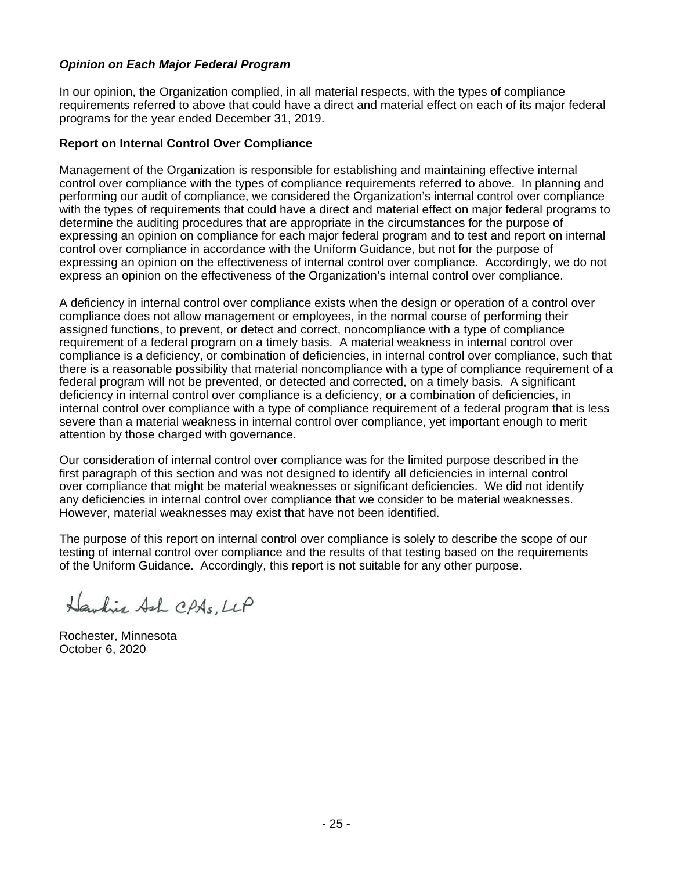#### *Opinion on Each Major Federal Program*

In our opinion, the Organization complied, in all material respects, with the types of compliance requirements referred to above that could have a direct and material effect on each of its major federal programs for the year ended December 31, 2019.

#### **Report on Internal Control Over Compliance**

Management of the Organization is responsible for establishing and maintaining effective internal control over compliance with the types of compliance requirements referred to above. In planning and performing our audit of compliance, we considered the Organization's internal control over compliance with the types of requirements that could have a direct and material effect on major federal programs to determine the auditing procedures that are appropriate in the circumstances for the purpose of expressing an opinion on compliance for each major federal program and to test and report on internal control over compliance in accordance with the Uniform Guidance, but not for the purpose of expressing an opinion on the effectiveness of internal control over compliance. Accordingly, we do not express an opinion on the effectiveness of the Organization's internal control over compliance.

A deficiency in internal control over compliance exists when the design or operation of a control over compliance does not allow management or employees, in the normal course of performing their assigned functions, to prevent, or detect and correct, noncompliance with a type of compliance requirement of a federal program on a timely basis. A material weakness in internal control over compliance is a deficiency, or combination of deficiencies, in internal control over compliance, such that there is a reasonable possibility that material noncompliance with a type of compliance requirement of a federal program will not be prevented, or detected and corrected, on a timely basis. A significant deficiency in internal control over compliance is a deficiency, or a combination of deficiencies, in internal control over compliance with a type of compliance requirement of a federal program that is less severe than a material weakness in internal control over compliance, yet important enough to merit attention by those charged with governance.

Our consideration of internal control over compliance was for the limited purpose described in the first paragraph of this section and was not designed to identify all deficiencies in internal control over compliance that might be material weaknesses or significant deficiencies. We did not identify any deficiencies in internal control over compliance that we consider to be material weaknesses. However, material weaknesses may exist that have not been identified.

The purpose of this report on internal control over compliance is solely to describe the scope of our testing of internal control over compliance and the results of that testing based on the requirements of the Uniform Guidance. Accordingly, this report is not suitable for any other purpose.

Hawkis Ash CPAS, LLP

Rochester, Minnesota October 6, 2020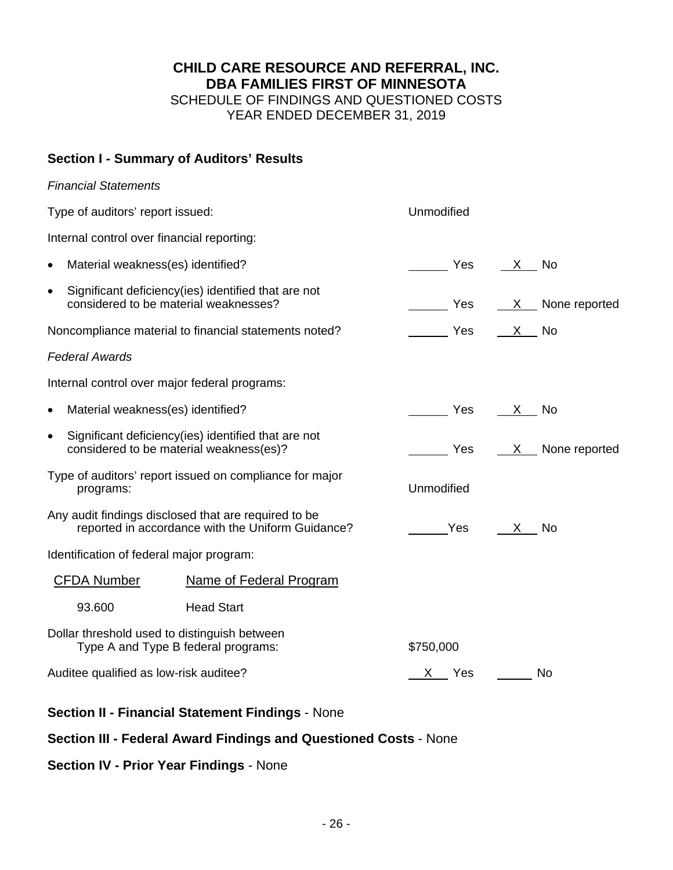**CHILD CARE RESOURCE AND REFERRAL, INC. DBA FAMILIES FIRST OF MINNESOTA** 

SCHEDULE OF FINDINGS AND QUESTIONED COSTS YEAR ENDED DECEMBER 31, 2019

# **Section I - Summary of Auditors' Results**

| <b>Financial Statements</b>                                                                                  |                    |                    |
|--------------------------------------------------------------------------------------------------------------|--------------------|--------------------|
| Type of auditors' report issued:                                                                             | Unmodified         |                    |
| Internal control over financial reporting:                                                                   |                    |                    |
| Material weakness(es) identified?<br>$\bullet$                                                               | <b>Paradox</b> Yes | X No               |
| Significant deficiency (ies) identified that are not<br>$\bullet$<br>considered to be material weaknesses?   | Yes                | $X$ None reported  |
| Noncompliance material to financial statements noted?                                                        | Yes                | X No               |
| <b>Federal Awards</b>                                                                                        |                    |                    |
| Internal control over major federal programs:                                                                |                    |                    |
| Material weakness(es) identified?<br>$\bullet$                                                               | Yes                | $\mathsf{X}$<br>No |
| Significant deficiency (ies) identified that are not<br>$\bullet$<br>considered to be material weakness(es)? | Yes                | $X$ None reported  |
| Type of auditors' report issued on compliance for major<br>programs:                                         | Unmodified         |                    |
| Any audit findings disclosed that are required to be<br>reported in accordance with the Uniform Guidance?    | Yes                | X —<br>No          |
| Identification of federal major program:                                                                     |                    |                    |
| <b>CFDA Number</b><br>Name of Federal Program                                                                |                    |                    |
| <b>Head Start</b><br>93.600                                                                                  |                    |                    |
| Dollar threshold used to distinguish between<br>Type A and Type B federal programs:                          | \$750,000          |                    |
| Auditee qualified as low-risk auditee?                                                                       | <u>X</u> Yes _____ | No.                |
| <b>Section II - Financial Statement Findings - None</b>                                                      |                    |                    |

# **Section III - Federal Award Findings and Questioned Costs** - None

**Section IV - Prior Year Findings** - None